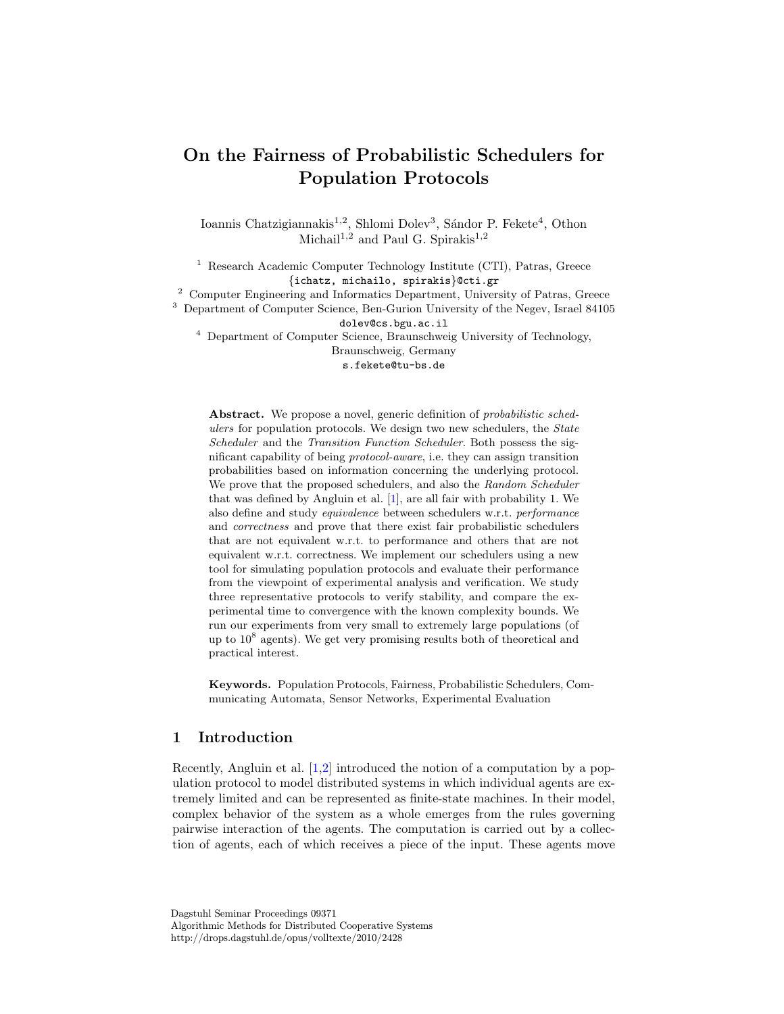# On the Fairness of Probabilistic Schedulers for Population Protocols

Ioannis Chatzigiannakis<sup>1,2</sup>, Shlomi Dolev<sup>3</sup>, Sándor P. Fekete<sup>4</sup>, Othon Michail<sup>1,2</sup> and Paul G. Spirakis<sup>1,2</sup>

<sup>1</sup> Research Academic Computer Technology Institute (CTI), Patras, Greece {ichatz, michailo, spirakis}@cti.gr

<sup>2</sup> Computer Engineering and Informatics Department, University of Patras, Greece

<sup>3</sup> Department of Computer Science, Ben-Gurion University of the Negev, Israel 84105 dolev@cs.bgu.ac.il

<sup>4</sup> Department of Computer Science, Braunschweig University of Technology, Braunschweig, Germany

s.fekete@tu-bs.de

Abstract. We propose a novel, generic definition of *probabilistic sched*ulers for population protocols. We design two new schedulers, the State Scheduler and the Transition Function Scheduler. Both possess the significant capability of being protocol-aware, i.e. they can assign transition probabilities based on information concerning the underlying protocol. We prove that the proposed schedulers, and also the Random Scheduler that was defined by Angluin et al. [\[1\]](#page-21-0), are all fair with probability 1. We also define and study equivalence between schedulers w.r.t. performance and correctness and prove that there exist fair probabilistic schedulers that are not equivalent w.r.t. to performance and others that are not equivalent w.r.t. correctness. We implement our schedulers using a new tool for simulating population protocols and evaluate their performance from the viewpoint of experimental analysis and verification. We study three representative protocols to verify stability, and compare the experimental time to convergence with the known complexity bounds. We run our experiments from very small to extremely large populations (of up to  $10^8$  agents). We get very promising results both of theoretical and practical interest.

Keywords. Population Protocols, Fairness, Probabilistic Schedulers, Communicating Automata, Sensor Networks, Experimental Evaluation

# 1 Introduction

Recently, Angluin et al.  $[1,2]$  $[1,2]$  introduced the notion of a computation by a population protocol to model distributed systems in which individual agents are extremely limited and can be represented as finite-state machines. In their model, complex behavior of the system as a whole emerges from the rules governing pairwise interaction of the agents. The computation is carried out by a collection of agents, each of which receives a piece of the input. These agents move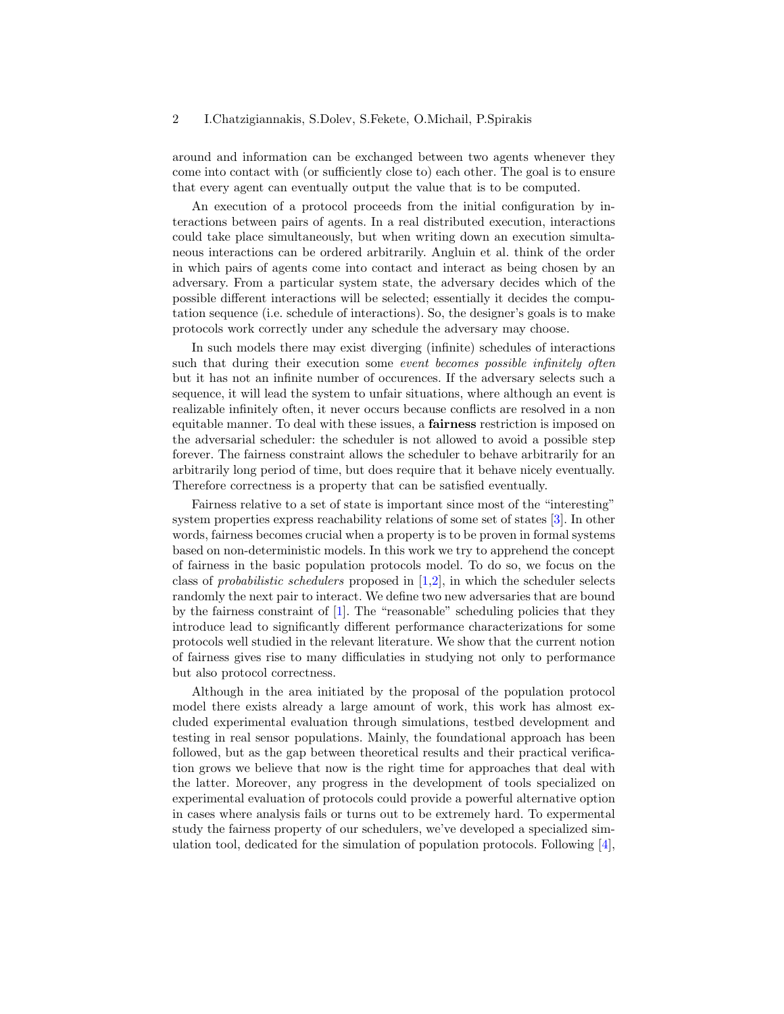around and information can be exchanged between two agents whenever they come into contact with (or sufficiently close to) each other. The goal is to ensure that every agent can eventually output the value that is to be computed.

An execution of a protocol proceeds from the initial configuration by interactions between pairs of agents. In a real distributed execution, interactions could take place simultaneously, but when writing down an execution simultaneous interactions can be ordered arbitrarily. Angluin et al. think of the order in which pairs of agents come into contact and interact as being chosen by an adversary. From a particular system state, the adversary decides which of the possible different interactions will be selected; essentially it decides the computation sequence (i.e. schedule of interactions). So, the designer's goals is to make protocols work correctly under any schedule the adversary may choose.

In such models there may exist diverging (infinite) schedules of interactions such that during their execution some event becomes possible infinitely often but it has not an infinite number of occurences. If the adversary selects such a sequence, it will lead the system to unfair situations, where although an event is realizable infinitely often, it never occurs because conflicts are resolved in a non equitable manner. To deal with these issues, a fairness restriction is imposed on the adversarial scheduler: the scheduler is not allowed to avoid a possible step forever. The fairness constraint allows the scheduler to behave arbitrarily for an arbitrarily long period of time, but does require that it behave nicely eventually. Therefore correctness is a property that can be satisfied eventually.

Fairness relative to a set of state is important since most of the "interesting" system properties express reachability relations of some set of states [\[3\]](#page-21-2). In other words, fairness becomes crucial when a property is to be proven in formal systems based on non-deterministic models. In this work we try to apprehend the concept of fairness in the basic population protocols model. To do so, we focus on the class of *probabilistic schedulers* proposed in  $[1,2]$  $[1,2]$ , in which the scheduler selects randomly the next pair to interact. We define two new adversaries that are bound by the fairness constraint of [\[1\]](#page-21-0). The "reasonable" scheduling policies that they introduce lead to significantly different performance characterizations for some protocols well studied in the relevant literature. We show that the current notion of fairness gives rise to many difficulaties in studying not only to performance but also protocol correctness.

Although in the area initiated by the proposal of the population protocol model there exists already a large amount of work, this work has almost excluded experimental evaluation through simulations, testbed development and testing in real sensor populations. Mainly, the foundational approach has been followed, but as the gap between theoretical results and their practical verification grows we believe that now is the right time for approaches that deal with the latter. Moreover, any progress in the development of tools specialized on experimental evaluation of protocols could provide a powerful alternative option in cases where analysis fails or turns out to be extremely hard. To expermental study the fairness property of our schedulers, we've developed a specialized simulation tool, dedicated for the simulation of population protocols. Following  $[4]$ ,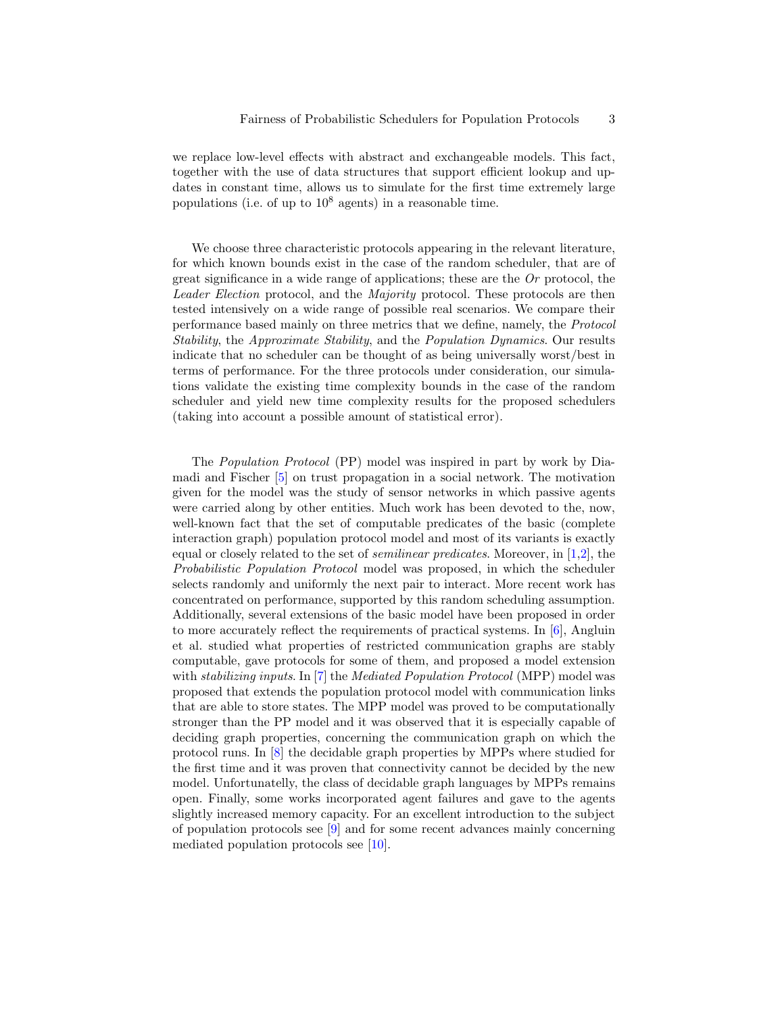we replace low-level effects with abstract and exchangeable models. This fact, together with the use of data structures that support efficient lookup and updates in constant time, allows us to simulate for the first time extremely large populations (i.e. of up to  $10^8$  agents) in a reasonable time.

We choose three characteristic protocols appearing in the relevant literature, for which known bounds exist in the case of the random scheduler, that are of great significance in a wide range of applications; these are the  $\overline{Or}$  protocol, the Leader Election protocol, and the Majority protocol. These protocols are then tested intensively on a wide range of possible real scenarios. We compare their performance based mainly on three metrics that we define, namely, the Protocol Stability, the Approximate Stability, and the Population Dynamics. Our results indicate that no scheduler can be thought of as being universally worst/best in terms of performance. For the three protocols under consideration, our simulations validate the existing time complexity bounds in the case of the random scheduler and yield new time complexity results for the proposed schedulers (taking into account a possible amount of statistical error).

The Population Protocol (PP) model was inspired in part by work by Diamadi and Fischer [\[5\]](#page-22-1) on trust propagation in a social network. The motivation given for the model was the study of sensor networks in which passive agents were carried along by other entities. Much work has been devoted to the, now, well-known fact that the set of computable predicates of the basic (complete interaction graph) population protocol model and most of its variants is exactly equal or closely related to the set of semilinear predicates. Moreover, in [\[1,](#page-21-0)[2\]](#page-21-1), the Probabilistic Population Protocol model was proposed, in which the scheduler selects randomly and uniformly the next pair to interact. More recent work has concentrated on performance, supported by this random scheduling assumption. Additionally, several extensions of the basic model have been proposed in order to more accurately reflect the requirements of practical systems. In [\[6\]](#page-22-2), Angluin et al. studied what properties of restricted communication graphs are stably computable, gave protocols for some of them, and proposed a model extension with *stabilizing inputs*. In [\[7\]](#page-22-3) the *Mediated Population Protocol* (MPP) model was proposed that extends the population protocol model with communication links that are able to store states. The MPP model was proved to be computationally stronger than the PP model and it was observed that it is especially capable of deciding graph properties, concerning the communication graph on which the protocol runs. In [\[8\]](#page-22-4) the decidable graph properties by MPPs where studied for the first time and it was proven that connectivity cannot be decided by the new model. Unfortunatelly, the class of decidable graph languages by MPPs remains open. Finally, some works incorporated agent failures and gave to the agents slightly increased memory capacity. For an excellent introduction to the subject of population protocols see [\[9\]](#page-22-5) and for some recent advances mainly concerning mediated population protocols see [\[10\]](#page-22-6).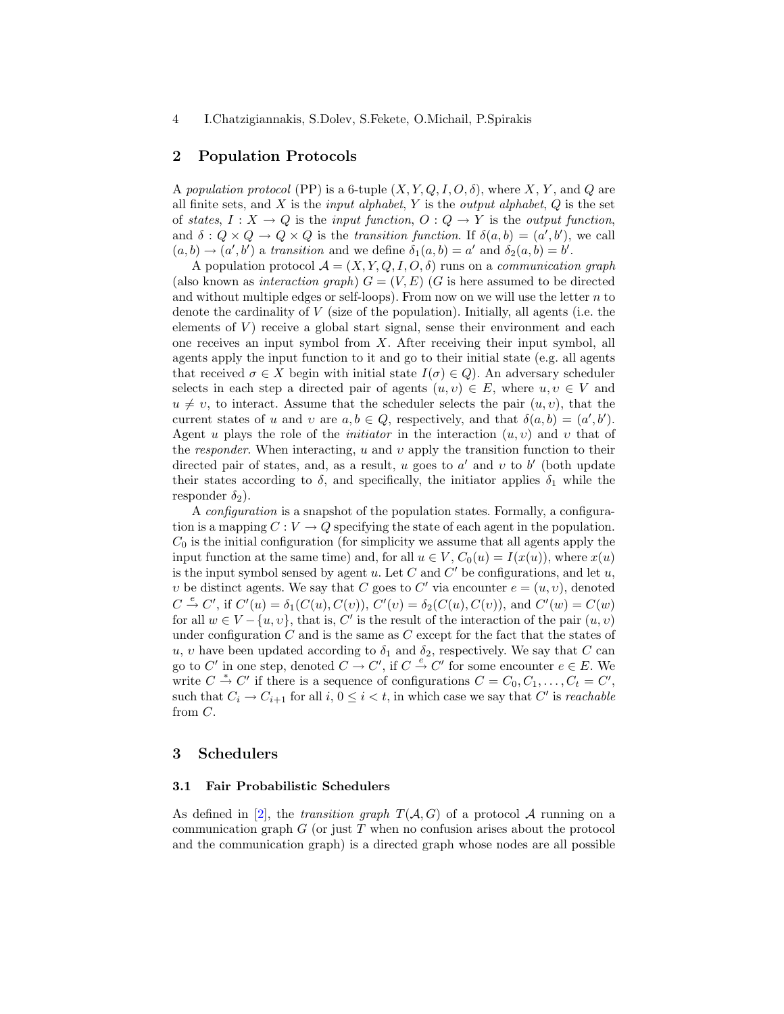## 2 Population Protocols

A population protocol (PP) is a 6-tuple  $(X, Y, Q, I, O, \delta)$ , where X, Y, and Q are all finite sets, and  $X$  is the *input alphabet*,  $Y$  is the *output alphabet*,  $Q$  is the set of states,  $I: X \to Q$  is the input function,  $O: Q \to Y$  is the output function, and  $\delta: Q \times Q \to Q \times Q$  is the transition function. If  $\delta(a, b) = (a', b')$ , we call  $(a, b) \rightarrow (a', b')$  a transition and we define  $\delta_1(a, b) = a'$  and  $\delta_2(a, b) = b'$ .

A population protocol  $\mathcal{A} = (X, Y, Q, I, O, \delta)$  runs on a *communication graph* (also known as *interaction graph*)  $G = (V, E)$  (G is here assumed to be directed and without multiple edges or self-loops). From now on we will use the letter  $n$  to denote the cardinality of  $V$  (size of the population). Initially, all agents (i.e. the elements of  $V$ ) receive a global start signal, sense their environment and each one receives an input symbol from  $X$ . After receiving their input symbol, all agents apply the input function to it and go to their initial state (e.g. all agents that received  $\sigma \in X$  begin with initial state  $I(\sigma) \in Q$ ). An adversary scheduler selects in each step a directed pair of agents  $(u, v) \in E$ , where  $u, v \in V$  and  $u \neq v$ , to interact. Assume that the scheduler selects the pair  $(u, v)$ , that the current states of u and v are  $a, b \in Q$ , respectively, and that  $\delta(a, b) = (a', b')$ . Agent u plays the role of the *initiator* in the interaction  $(u, v)$  and v that of the responder. When interacting, u and v apply the transition function to their directed pair of states, and, as a result, u goes to  $a'$  and v to b' (both update their states according to  $\delta$ , and specifically, the initiator applies  $\delta_1$  while the responder  $\delta_2$ ).

A configuration is a snapshot of the population states. Formally, a configuration is a mapping  $C: V \to Q$  specifying the state of each agent in the population.  $C_0$  is the initial configuration (for simplicity we assume that all agents apply the input function at the same time) and, for all  $u \in V$ ,  $C_0(u) = I(x(u))$ , where  $x(u)$ is the input symbol sensed by agent  $u$ . Let  $C$  and  $C'$  be configurations, and let  $u$ , v be distinct agents. We say that C goes to C' via encounter  $e = (u, v)$ , denoted  $C \stackrel{e}{\to} C'$ , if  $C'(u) = \delta_1(C(u), C(v))$ ,  $C'(v) = \delta_2(C(u), C(v))$ , and  $C'(w) = C(w)$ for all  $w \in V - \{u, v\}$ , that is, C' is the result of the interaction of the pair  $(u, v)$ under configuration  $C$  and is the same as  $C$  except for the fact that the states of u, v have been updated according to  $\delta_1$  and  $\delta_2$ , respectively. We say that C can go to C' in one step, denoted  $C \to C'$ , if  $C \stackrel{e}{\to} C'$  for some encounter  $e \in E$ . We write  $C \stackrel{*}{\to} C'$  if there is a sequence of configurations  $C = C_0, C_1, \ldots, C_t = C'$ , such that  $C_i \to C_{i+1}$  for all  $i, 0 \leq i < t$ , in which case we say that C' is *reachable* from C.

# 3 Schedulers

### 3.1 Fair Probabilistic Schedulers

As defined in [\[2\]](#page-21-1), the transition graph  $T(A, G)$  of a protocol A running on a communication graph  $G$  (or just  $T$  when no confusion arises about the protocol and the communication graph) is a directed graph whose nodes are all possible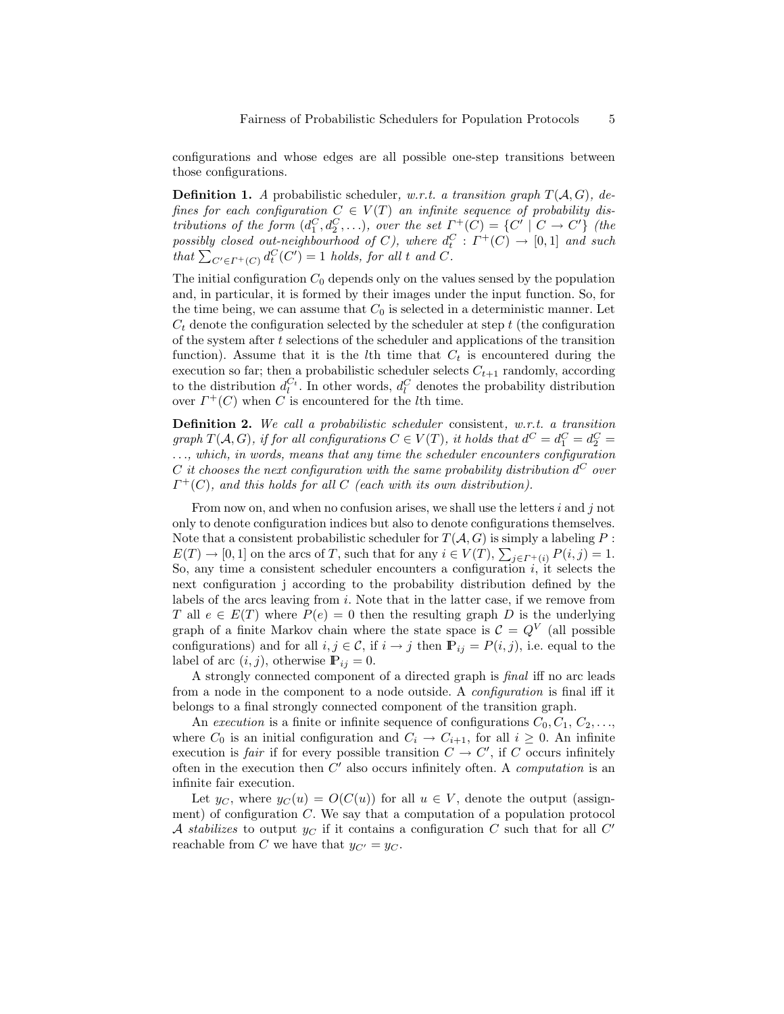configurations and whose edges are all possible one-step transitions between those configurations.

**Definition 1.** A probabilistic scheduler, w.r.t. a transition graph  $T(A, G)$ , defines for each configuration  $C \in V(T)$  an infinite sequence of probability distributions of the form  $(d_1^C, d_2^C, \ldots)$ , over the set  $\Gamma^+(C) = \{C' \mid C \to C'\}$  (the possibly closed out-neighbourhood of C), where  $d_t^C: \Gamma^+(C) \to [0,1]$  and such that  $\sum_{C' \in \Gamma^+(C)} d_{t}^C(C') = 1$  holds, for all t and C.

The initial configuration  $C_0$  depends only on the values sensed by the population and, in particular, it is formed by their images under the input function. So, for the time being, we can assume that  $C_0$  is selected in a deterministic manner. Let  $C_t$  denote the configuration selected by the scheduler at step t (the configuration of the system after t selections of the scheduler and applications of the transition function). Assume that it is the lth time that  $C_t$  is encountered during the execution so far; then a probabilistic scheduler selects  $C_{t+1}$  randomly, according to the distribution  $d_l^{C_t}$ . In other words,  $d_l^C$  denotes the probability distribution over  $\Gamma^+(C)$  when C is encountered for the *l*th time.

Definition 2. We call a probabilistic scheduler consistent, w.r.t. a transition graph  $T(A, G)$ , if for all configurations  $C \in V(T)$ , it holds that  $d^C = d_1^C = d_2^C = d$ ..., which, in words, means that any time the scheduler encounters configuration  $C$  it chooses the next configuration with the same probability distribution  $d^C$  over  $\Gamma^+(C)$ , and this holds for all C (each with its own distribution).

From now on, and when no confusion arises, we shall use the letters  $i$  and  $j$  not only to denote configuration indices but also to denote configurations themselves. Note that a consistent probabilistic scheduler for  $T(A, G)$  is simply a labeling P:  $E(T) \to [0,1]$  on the arcs of T, such that for any  $i \in V(T)$ ,  $\sum_{j \in \Gamma^+(i)} P(i,j) = 1$ . So, any time a consistent scheduler encounters a configuration  $i$ , it selects the next configuration j according to the probability distribution defined by the labels of the arcs leaving from i. Note that in the latter case, if we remove from T all  $e \in E(T)$  where  $P(e) = 0$  then the resulting graph D is the underlying graph of a finite Markov chain where the state space is  $\mathcal{C} = Q^V$  (all possible configurations) and for all  $i, j \in \mathcal{C}$ , if  $i \to j$  then  $\mathbb{P}_{ij} = P(i, j)$ , i.e. equal to the label of arc  $(i, j)$ , otherwise  $\mathbb{P}_{ij} = 0$ .

A strongly connected component of a directed graph is final iff no arc leads from a node in the component to a node outside. A configuration is final iff it belongs to a final strongly connected component of the transition graph.

An execution is a finite or infinite sequence of configurations  $C_0, C_1, C_2, \ldots$ where  $C_0$  is an initial configuration and  $C_i \rightarrow C_{i+1}$ , for all  $i \geq 0$ . An infinite execution is *fair* if for every possible transition  $C \rightarrow C'$ , if C occurs infinitely often in the execution then  $C'$  also occurs infinitely often. A *computation* is an infinite fair execution.

Let  $y_C$ , where  $y_C(u) = O(C(u))$  for all  $u \in V$ , denote the output (assignment) of configuration C. We say that a computation of a population protocol A stabilizes to output  $y_C$  if it contains a configuration C such that for all C' reachable from C we have that  $y_{C'} = y_C$ .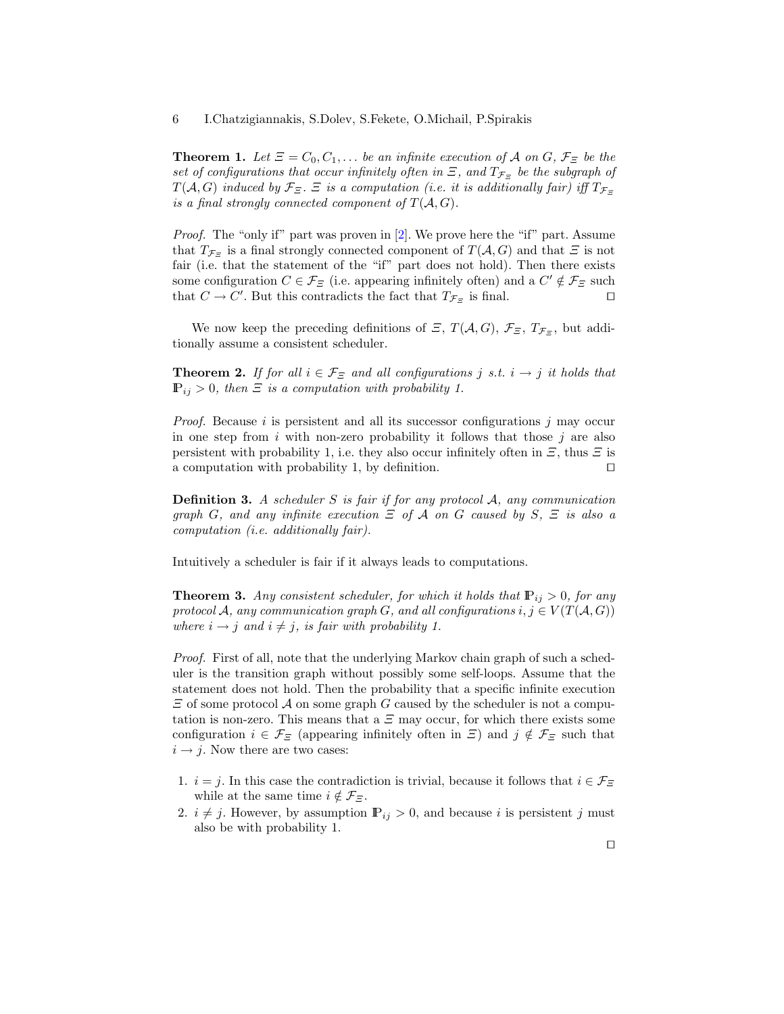**Theorem 1.** Let  $\Xi = C_0, C_1, \ldots$  be an infinite execution of A on G,  $\mathcal{F}_{\Xi}$  be the set of configurations that occur infinitely often in  $\Xi$ , and  $T_{\mathcal{F}_{\Xi}}$  be the subgraph of  $T(A, G)$  induced by  $\mathcal{F}_{\Xi}$ .  $\Xi$  is a computation (i.e. it is additionally fair) iff  $T_{\mathcal{F}_{\Xi}}$ is a final strongly connected component of  $T(A, G)$ .

Proof. The "only if" part was proven in [\[2\]](#page-21-1). We prove here the "if" part. Assume that  $T_{\mathcal{F}_{\Xi}}$  is a final strongly connected component of  $T(\mathcal{A}, G)$  and that  $\Xi$  is not fair (i.e. that the statement of the "if" part does not hold). Then there exists some configuration  $C \in \mathcal{F}_{\Xi}$  (i.e. appearing infinitely often) and a  $C' \notin \mathcal{F}_{\Xi}$  such that  $C \to C'$ . But this contradicts the fact that  $T_{\mathcal{F}_{\Xi}}$  is final.

We now keep the preceding definitions of  $\Xi$ ,  $T(A, G)$ ,  $\mathcal{F}_{\Xi}$ ,  $T_{\mathcal{F}_{\Xi}}$ , but additionally assume a consistent scheduler.

**Theorem 2.** If for all  $i \in \mathcal{F}_{\Xi}$  and all configurations j s.t.  $i \to j$  it holds that  $\mathbb{P}_{ij} > 0$ , then  $\Xi$  is a computation with probability 1.

*Proof.* Because i is persistent and all its successor configurations j may occur in one step from i with non-zero probability it follows that those  $j$  are also persistent with probability 1, i.e. they also occur infinitely often in  $\Xi$ , thus  $\Xi$  is a computation with probability 1, by definition.  $\Box$ 

**Definition 3.** A scheduler S is fair if for any protocol  $A$ , any communication graph G, and any infinite execution  $\Xi$  of A on G caused by S,  $\Xi$  is also a computation (i.e. additionally fair).

<span id="page-5-0"></span>Intuitively a scheduler is fair if it always leads to computations.

**Theorem 3.** Any consistent scheduler, for which it holds that  $\mathbb{P}_{ij} > 0$ , for any protocol A, any communication graph G, and all configurations  $i, j \in V(T(A, G))$ where  $i \rightarrow j$  and  $i \neq j$ , is fair with probability 1.

Proof. First of all, note that the underlying Markov chain graph of such a scheduler is the transition graph without possibly some self-loops. Assume that the statement does not hold. Then the probability that a specific infinite execution  $\Xi$  of some protocol  $\mathcal A$  on some graph G caused by the scheduler is not a computation is non-zero. This means that a  $\Xi$  may occur, for which there exists some configuration  $i \in \mathcal{F}_{\Xi}$  (appearing infinitely often in  $\Xi$ ) and  $j \notin \mathcal{F}_{\Xi}$  such that  $i \rightarrow j$ . Now there are two cases:

- 1.  $i = j$ . In this case the contradiction is trivial, because it follows that  $i \in \mathcal{F}_{\Xi}$ while at the same time  $i \notin \mathcal{F}_{\Xi}$ .
- 2.  $i \neq j$ . However, by assumption  $\mathbb{P}_{ij} > 0$ , and because i is persistent j must also be with probability 1.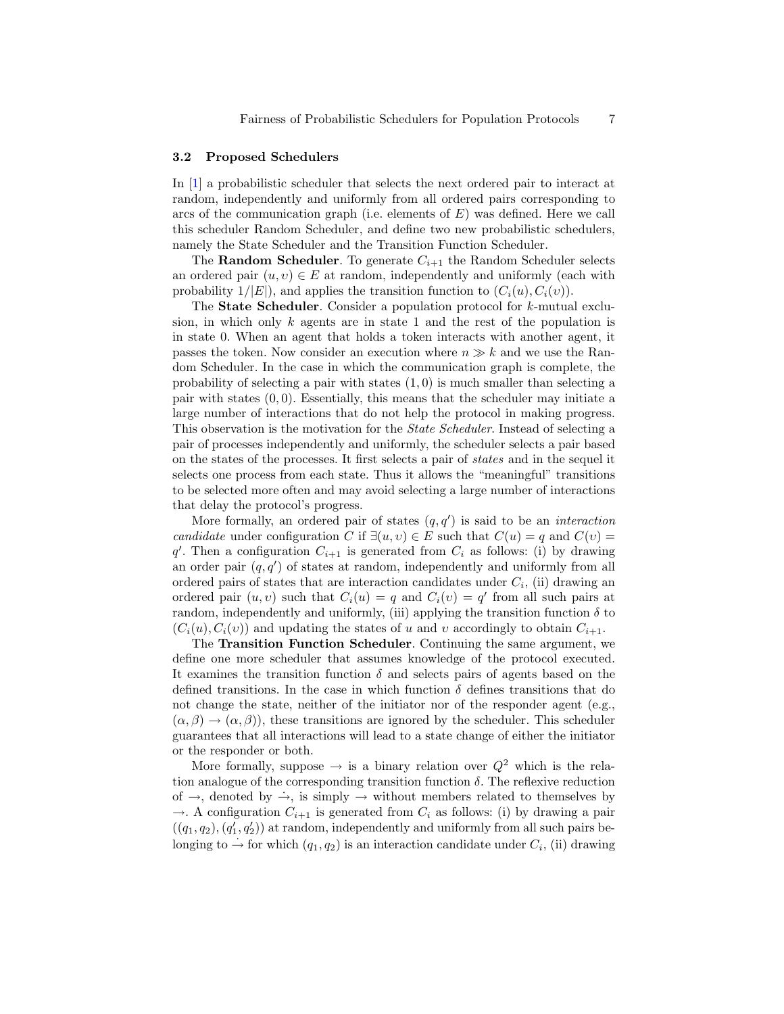### <span id="page-6-0"></span>3.2 Proposed Schedulers

In [\[1\]](#page-21-0) a probabilistic scheduler that selects the next ordered pair to interact at random, independently and uniformly from all ordered pairs corresponding to arcs of the communication graph (i.e. elements of  $E$ ) was defined. Here we call this scheduler Random Scheduler, and define two new probabilistic schedulers, namely the State Scheduler and the Transition Function Scheduler.

The **Random Scheduler**. To generate  $C_{i+1}$  the Random Scheduler selects an ordered pair  $(u, v) \in E$  at random, independently and uniformly (each with probability  $1/|E|$ , and applies the transition function to  $(C_i(u), C_i(v))$ .

The State Scheduler. Consider a population protocol for k-mutual exclusion, in which only  $k$  agents are in state 1 and the rest of the population is in state 0. When an agent that holds a token interacts with another agent, it passes the token. Now consider an execution where  $n \gg k$  and we use the Random Scheduler. In the case in which the communication graph is complete, the probability of selecting a pair with states  $(1, 0)$  is much smaller than selecting a pair with states  $(0, 0)$ . Essentially, this means that the scheduler may initiate a large number of interactions that do not help the protocol in making progress. This observation is the motivation for the State Scheduler. Instead of selecting a pair of processes independently and uniformly, the scheduler selects a pair based on the states of the processes. It first selects a pair of states and in the sequel it selects one process from each state. Thus it allows the "meaningful" transitions to be selected more often and may avoid selecting a large number of interactions that delay the protocol's progress.

More formally, an ordered pair of states  $(q, q')$  is said to be an *interaction* candidate under configuration C if  $\exists (u, v) \in E$  such that  $C(u) = q$  and  $C(v) =$ q'. Then a configuration  $C_{i+1}$  is generated from  $C_i$  as follows: (i) by drawing an order pair  $(q, q')$  of states at random, independently and uniformly from all ordered pairs of states that are interaction candidates under  $C_i$ , (ii) drawing an ordered pair  $(u, v)$  such that  $C_i(u) = q$  and  $C_i(v) = q'$  from all such pairs at random, independently and uniformly, (iii) applying the transition function  $\delta$  to  $(C_i(u), C_i(v))$  and updating the states of u and v accordingly to obtain  $C_{i+1}$ .

The Transition Function Scheduler. Continuing the same argument, we define one more scheduler that assumes knowledge of the protocol executed. It examines the transition function  $\delta$  and selects pairs of agents based on the defined transitions. In the case in which function  $\delta$  defines transitions that do not change the state, neither of the initiator nor of the responder agent (e.g.,  $(\alpha, \beta) \rightarrow (\alpha, \beta)$ , these transitions are ignored by the scheduler. This scheduler guarantees that all interactions will lead to a state change of either the initiator or the responder or both.

More formally, suppose  $\rightarrow$  is a binary relation over  $Q^2$  which is the relation analogue of the corresponding transition function  $\delta$ . The reflexive reduction of  $\rightarrow$ , denoted by  $\rightarrow$ , is simply  $\rightarrow$  without members related to themselves by  $\rightarrow$ . A configuration  $C_{i+1}$  is generated from  $C_i$  as follows: (i) by drawing a pair  $((q_1, q_2), (q'_1, q'_2))$  at random, independently and uniformly from all such pairs belonging to  $\rightarrow$  for which  $(q_1, q_2)$  is an interaction candidate under  $C_i$ , (ii) drawing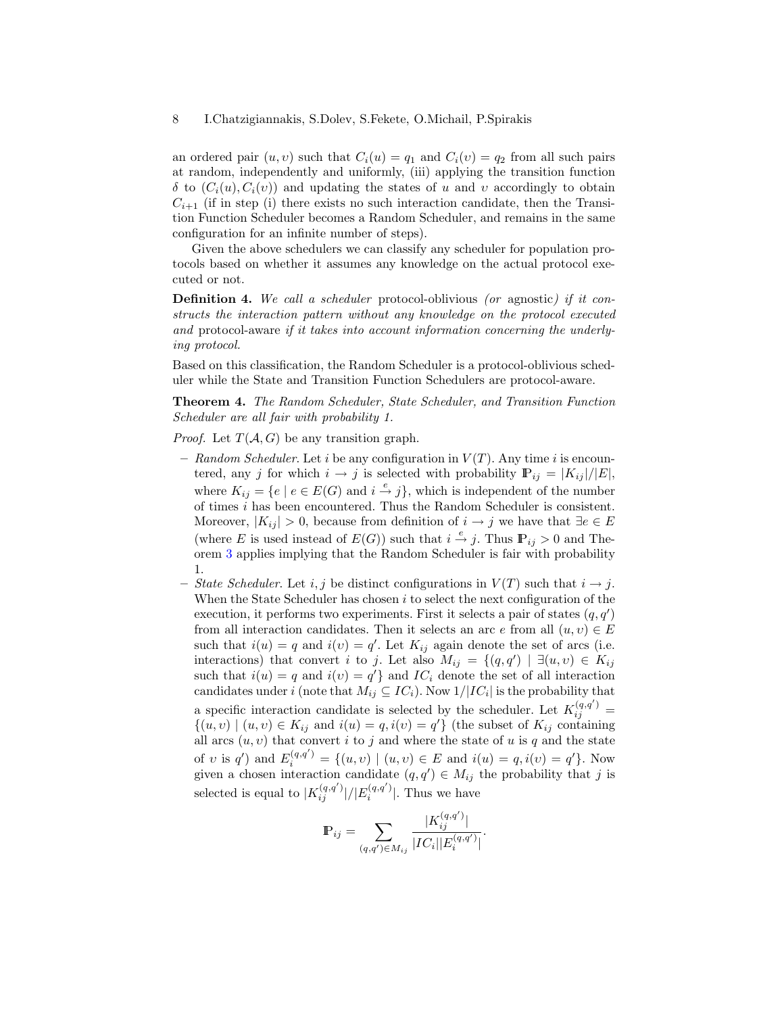an ordered pair  $(u, v)$  such that  $C_i(u) = q_1$  and  $C_i(v) = q_2$  from all such pairs at random, independently and uniformly, (iii) applying the transition function δ to  $(C_i(u), C_i(v))$  and updating the states of u and v accordingly to obtain  $C_{i+1}$  (if in step (i) there exists no such interaction candidate, then the Transition Function Scheduler becomes a Random Scheduler, and remains in the same configuration for an infinite number of steps).

Given the above schedulers we can classify any scheduler for population protocols based on whether it assumes any knowledge on the actual protocol executed or not.

**Definition 4.** We call a scheduler protocol-oblivious (or agnostic) if it constructs the interaction pattern without any knowledge on the protocol executed and protocol-aware if it takes into account information concerning the underlying protocol.

Based on this classification, the Random Scheduler is a protocol-oblivious scheduler while the State and Transition Function Schedulers are protocol-aware.

Theorem 4. The Random Scheduler, State Scheduler, and Transition Function Scheduler are all fair with probability 1.

*Proof.* Let  $T(A, G)$  be any transition graph.

- Random Scheduler. Let i be any configuration in  $V(T)$ . Any time i is encountered, any j for which  $i \to j$  is selected with probability  $\mathbb{P}_{ij} = |K_{ij}|/|E|$ , where  $K_{ij} = \{e \mid e \in E(G) \text{ and } i \stackrel{e}{\rightarrow} j\},\$  which is independent of the number of times  $i$  has been encountered. Thus the Random Scheduler is consistent. Moreover,  $|K_{ij}| > 0$ , because from definition of  $i \to j$  we have that  $\exists e \in E$ (where E is used instead of  $E(G)$ ) such that  $i \stackrel{e}{\rightarrow} j$ . Thus  $\mathbb{P}_{ij} > 0$  and Theorem [3](#page-5-0) applies implying that the Random Scheduler is fair with probability 1.
- State Scheduler. Let i, j be distinct configurations in  $V(T)$  such that  $i \rightarrow j$ . When the State Scheduler has chosen  $i$  to select the next configuration of the execution, it performs two experiments. First it selects a pair of states  $(q, q')$ from all interaction candidates. Then it selects an arc e from all  $(u, v) \in E$ such that  $i(u) = q$  and  $i(v) = q'$ . Let  $K_{ij}$  again denote the set of arcs (i.e. interactions) that convert i to j. Let also  $M_{ij} = \{(q, q') | \exists (u, v) \in K_{ij}\}$ such that  $i(u) = q$  and  $i(v) = q'$  and  $IC_i$  denote the set of all interaction candidates under i (note that  $M_{ij} \subseteq IC_i$ ). Now  $1/|IC_i|$  is the probability that a specific interaction candidate is selected by the scheduler. Let  $K_{ij}^{(q,q')}$  =  $\{(u, v) \mid (u, v) \in K_{ij} \text{ and } i(u) = q, i(v) = q'\}\$  (the subset of  $K_{ij}$  containing all arcs  $(u, v)$  that convert i to j and where the state of u is q and the state of v is q') and  $E_i^{(q,q')} = \{(u, v) | (u, v) \in E \text{ and } i(u) = q, i(v) = q'\}.$  Now given a chosen interaction candidate  $(q, q') \in M_{ij}$  the probability that j is selected is equal to  $|K_{ij}^{(q,q')}|/|E_i^{(q,q')}|$ . Thus we have

$$
\mathbb{P}_{ij} = \sum_{(q,q') \in M_{ij}} \frac{|K_{ij}^{(q,q')}|}{|IC_i||E_i^{(q,q')}|}.
$$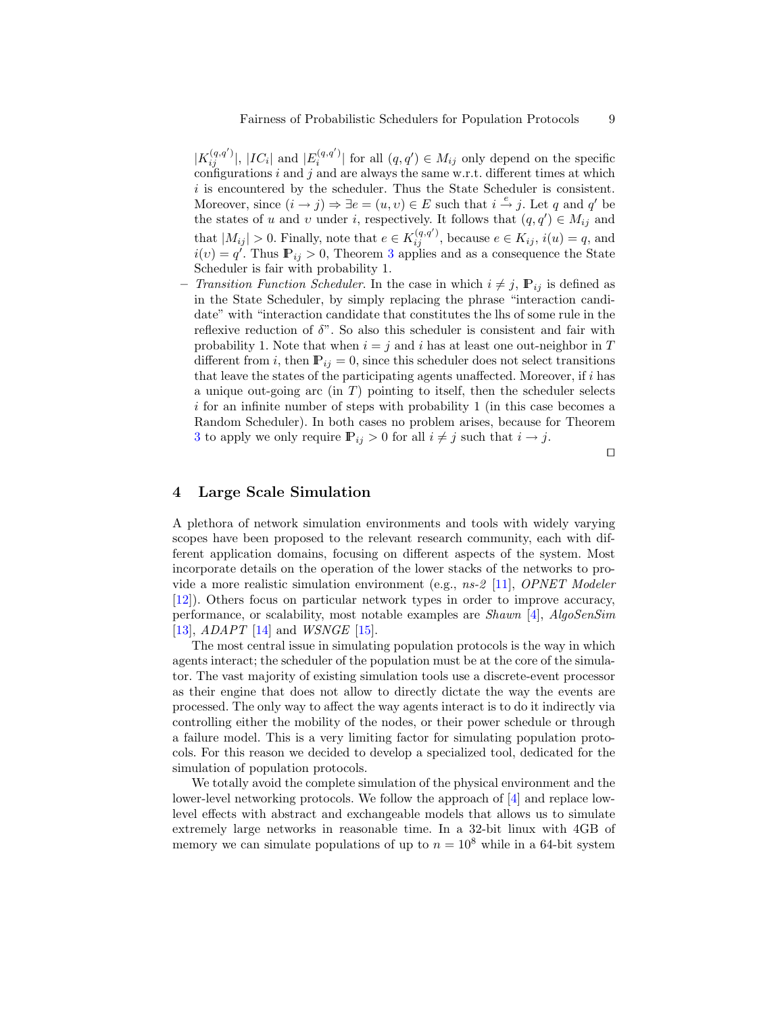$|K_{ij}^{(q,q')}|$ ,  $|IC_i|$  and  $|E_i^{(q,q')}|$  for all  $(q,q') \in M_{ij}$  only depend on the specific configurations  $i$  and  $j$  and are always the same w.r.t. different times at which i is encountered by the scheduler. Thus the State Scheduler is consistent. Moreover, since  $(i \rightarrow j) \Rightarrow \exists e = (u, v) \in E$  such that  $i \stackrel{e}{\rightarrow} j$ . Let q and q' be the states of u and v under i, respectively. It follows that  $(q, q') \in M_{ij}$  and that  $|M_{ij}| > 0$ . Finally, note that  $e \in K_{ij}^{(q,q')}$ , because  $e \in K_{ij}$ ,  $i(u) = q$ , and  $i(v) = q<sup>*i*</sup>$ . Thus  $\mathbb{P}_{ij} > 0$ , Theorem [3](#page-5-0) applies and as a consequence the State Scheduler is fair with probability 1.

*Transition Function Scheduler*. In the case in which  $i \neq j$ ,  $\mathbb{P}_{ij}$  is defined as in the State Scheduler, by simply replacing the phrase "interaction candidate" with "interaction candidate that constitutes the lhs of some rule in the reflexive reduction of  $\delta$ ". So also this scheduler is consistent and fair with probability 1. Note that when  $i = j$  and i has at least one out-neighbor in T different from i, then  $\mathbb{P}_{ij} = 0$ , since this scheduler does not select transitions that leave the states of the participating agents unaffected. Moreover, if  $i$  has a unique out-going arc (in  $T$ ) pointing to itself, then the scheduler selects i for an infinite number of steps with probability 1 (in this case becomes a Random Scheduler). In both cases no problem arises, because for Theorem [3](#page-5-0) to apply we only require  $\mathbb{P}_{ij} > 0$  for all  $i \neq j$  such that  $i \to j$ .

 $\Box$ 

# 4 Large Scale Simulation

A plethora of network simulation environments and tools with widely varying scopes have been proposed to the relevant research community, each with different application domains, focusing on different aspects of the system. Most incorporate details on the operation of the lower stacks of the networks to provide a more realistic simulation environment (e.g., ns-2 [\[11\]](#page-22-7), OPNET Modeler [\[12\]](#page-22-8)). Others focus on particular network types in order to improve accuracy, performance, or scalability, most notable examples are Shawn [\[4\]](#page-22-0), AlgoSenSim [\[13\]](#page-22-9),  $ADAPT$  [\[14\]](#page-22-10) and  $WSNGE$  [\[15\]](#page-22-11).

The most central issue in simulating population protocols is the way in which agents interact; the scheduler of the population must be at the core of the simulator. The vast majority of existing simulation tools use a discrete-event processor as their engine that does not allow to directly dictate the way the events are processed. The only way to affect the way agents interact is to do it indirectly via controlling either the mobility of the nodes, or their power schedule or through a failure model. This is a very limiting factor for simulating population protocols. For this reason we decided to develop a specialized tool, dedicated for the simulation of population protocols.

We totally avoid the complete simulation of the physical environment and the lower-level networking protocols. We follow the approach of [\[4\]](#page-22-0) and replace lowlevel effects with abstract and exchangeable models that allows us to simulate extremely large networks in reasonable time. In a 32-bit linux with 4GB of memory we can simulate populations of up to  $n = 10^8$  while in a 64-bit system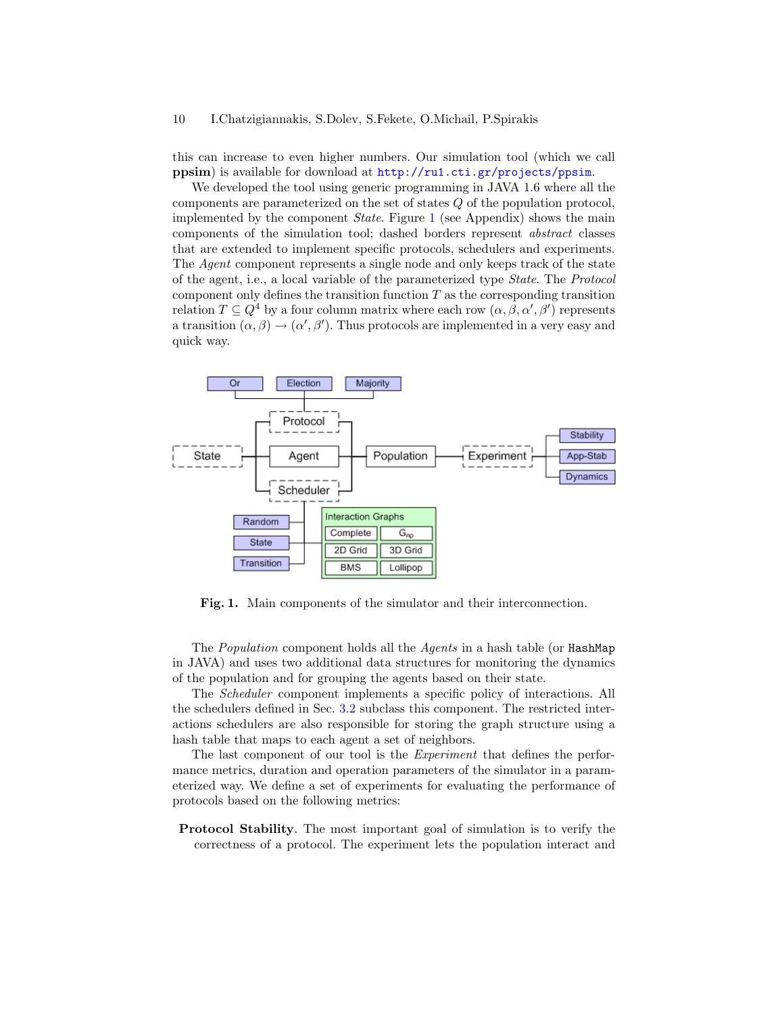this can increase to even higher numbers. Our simulation tool (which we call ppsim) is available for download at <http://ru1.cti.gr/projects/ppsim>.

We developed the tool using generic programming in JAVA 1.6 where all the components are parameterized on the set of states Q of the population protocol, implemented by the component State. Figure [1](#page-9-0) (see Appendix) shows the main components of the simulation tool; dashed borders represent abstract classes that are extended to implement specific protocols, schedulers and experiments. The Agent component represents a single node and only keeps track of the state of the agent, i.e., a local variable of the parameterized type State. The Protocol component only defines the transition function  $T$  as the corresponding transition relation  $T \subseteq Q^4$  by a four column matrix where each row  $(\alpha, \beta, \alpha', \beta')$  represents a transition  $(\alpha, \beta) \to (\alpha', \beta')$ . Thus protocols are implemented in a very easy and quick way.



<span id="page-9-0"></span>Fig. 1. Main components of the simulator and their interconnection.

The Population component holds all the Agents in a hash table (or HashMap in JAVA) and uses two additional data structures for monitoring the dynamics of the population and for grouping the agents based on their state.

The Scheduler component implements a specific policy of interactions. All the schedulers defined in Sec. [3.2](#page-6-0) subclass this component. The restricted interactions schedulers are also responsible for storing the graph structure using a hash table that maps to each agent a set of neighbors.

The last component of our tool is the Experiment that defines the performance metrics, duration and operation parameters of the simulator in a parameterized way. We define a set of experiments for evaluating the performance of protocols based on the following metrics:

Protocol Stability. The most important goal of simulation is to verify the correctness of a protocol. The experiment lets the population interact and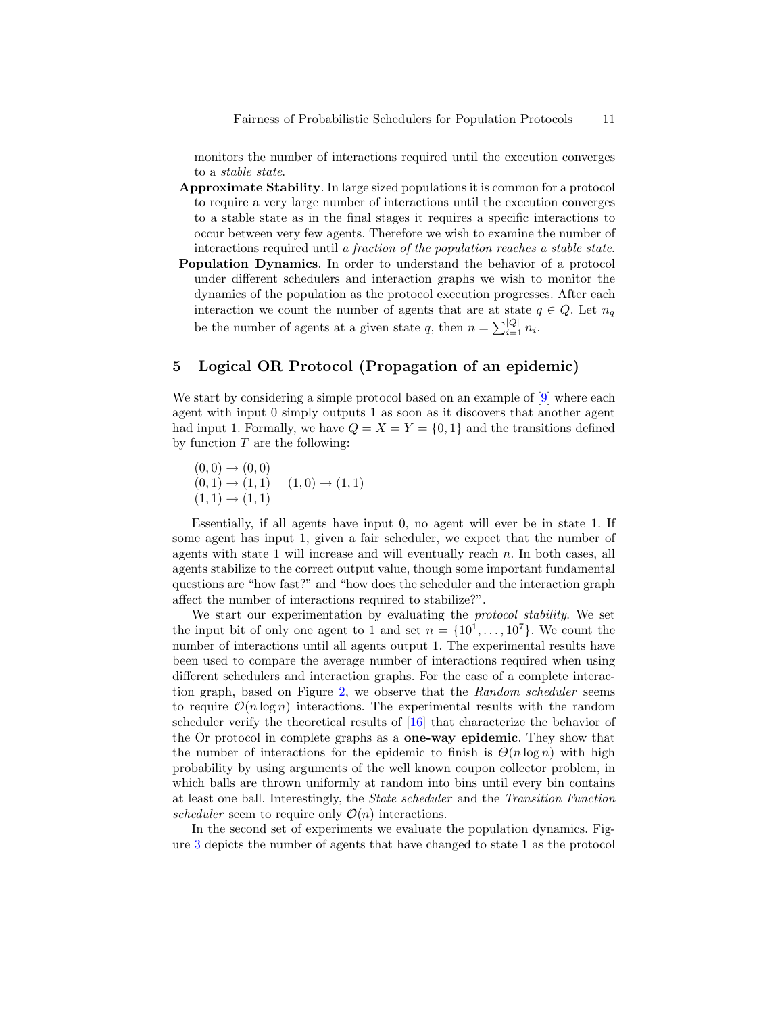monitors the number of interactions required until the execution converges to a stable state.

- Approximate Stability. In large sized populations it is common for a protocol to require a very large number of interactions until the execution converges to a stable state as in the final stages it requires a specific interactions to occur between very few agents. Therefore we wish to examine the number of interactions required until a fraction of the population reaches a stable state.
- Population Dynamics. In order to understand the behavior of a protocol under different schedulers and interaction graphs we wish to monitor the dynamics of the population as the protocol execution progresses. After each interaction we count the number of agents that are at state  $q \in Q$ . Let  $n_q$ be the number of agents at a given state q, then  $n = \sum_{i=1}^{|Q|} n_i$ .

# 5 Logical OR Protocol (Propagation of an epidemic)

We start by considering a simple protocol based on an example of [\[9\]](#page-22-5) where each agent with input 0 simply outputs 1 as soon as it discovers that another agent had input 1. Formally, we have  $Q = X = Y = \{0, 1\}$  and the transitions defined by function  $T$  are the following:

 $(0, 0) \rightarrow (0, 0)$  $(0, 1) \rightarrow (1, 1)$   $(1, 0) \rightarrow (1, 1)$  $(1, 1) \rightarrow (1, 1)$ 

Essentially, if all agents have input 0, no agent will ever be in state 1. If some agent has input 1, given a fair scheduler, we expect that the number of agents with state 1 will increase and will eventually reach  $n$ . In both cases, all agents stabilize to the correct output value, though some important fundamental questions are "how fast?" and "how does the scheduler and the interaction graph affect the number of interactions required to stabilize?".

We start our experimentation by evaluating the *protocol stability*. We set the input bit of only one agent to 1 and set  $n = \{10^1, \ldots, 10^7\}$ . We count the number of interactions until all agents output 1. The experimental results have been used to compare the average number of interactions required when using different schedulers and interaction graphs. For the case of a complete interaction graph, based on Figure [2,](#page-11-0) we observe that the Random scheduler seems to require  $\mathcal{O}(n \log n)$  interactions. The experimental results with the random scheduler verify the theoretical results of [\[16\]](#page-22-12) that characterize the behavior of the Or protocol in complete graphs as a one-way epidemic. They show that the number of interactions for the epidemic to finish is  $\Theta(n \log n)$  with high probability by using arguments of the well known coupon collector problem, in which balls are thrown uniformly at random into bins until every bin contains at least one ball. Interestingly, the State scheduler and the Transition Function scheduler seem to require only  $\mathcal{O}(n)$  interactions.

In the second set of experiments we evaluate the population dynamics. Figure [3](#page-12-0) depicts the number of agents that have changed to state 1 as the protocol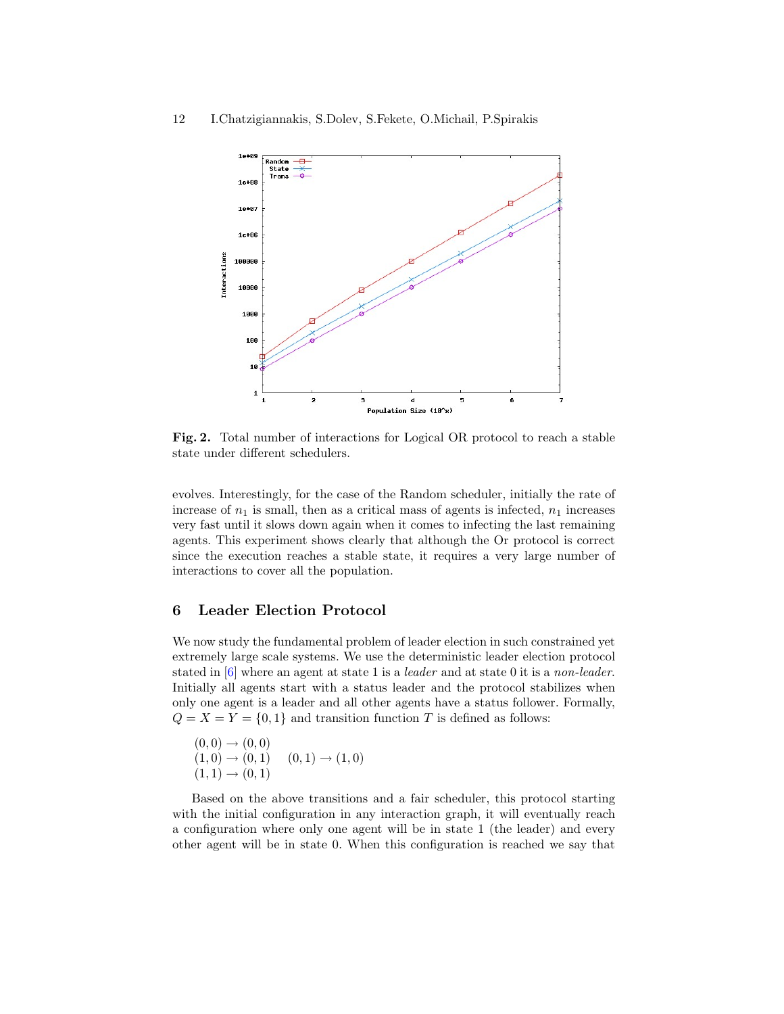

<span id="page-11-0"></span>Fig. 2. Total number of interactions for Logical OR protocol to reach a stable state under different schedulers.

evolves. Interestingly, for the case of the Random scheduler, initially the rate of increase of  $n_1$  is small, then as a critical mass of agents is infected,  $n_1$  increases very fast until it slows down again when it comes to infecting the last remaining agents. This experiment shows clearly that although the Or protocol is correct since the execution reaches a stable state, it requires a very large number of interactions to cover all the population.

# 6 Leader Election Protocol

We now study the fundamental problem of leader election in such constrained yet extremely large scale systems. We use the deterministic leader election protocol stated in  $[6]$  where an agent at state 1 is a *leader* and at state 0 it is a *non-leader*. Initially all agents start with a status leader and the protocol stabilizes when only one agent is a leader and all other agents have a status follower. Formally,  $Q = X = Y = \{0, 1\}$  and transition function T is defined as follows:

 $(0, 0) \rightarrow (0, 0)$  $(1, 0) \rightarrow (0, 1)$   $(0, 1) \rightarrow (1, 0)$  $(1, 1) \rightarrow (0, 1)$ 

Based on the above transitions and a fair scheduler, this protocol starting with the initial configuration in any interaction graph, it will eventually reach a configuration where only one agent will be in state 1 (the leader) and every other agent will be in state 0. When this configuration is reached we say that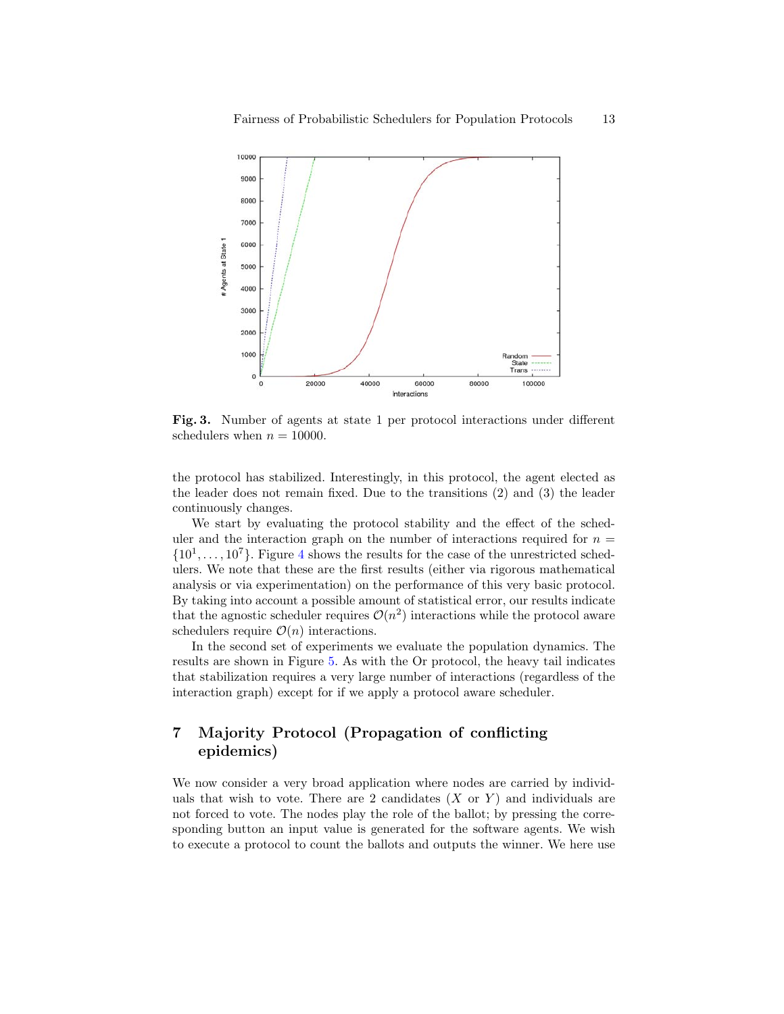

<span id="page-12-0"></span>Fig. 3. Number of agents at state 1 per protocol interactions under different schedulers when  $n = 10000$ .

the protocol has stabilized. Interestingly, in this protocol, the agent elected as the leader does not remain fixed. Due to the transitions (2) and (3) the leader continuously changes.

We start by evaluating the protocol stability and the effect of the scheduler and the interaction graph on the number of interactions required for  $n =$  $\{10^1, \ldots, 10^7\}$ . Figure [4](#page-13-0) shows the results for the case of the unrestricted schedulers. We note that these are the first results (either via rigorous mathematical analysis or via experimentation) on the performance of this very basic protocol. By taking into account a possible amount of statistical error, our results indicate that the agnostic scheduler requires  $\mathcal{O}(n^2)$  interactions while the protocol aware schedulers require  $\mathcal{O}(n)$  interactions.

In the second set of experiments we evaluate the population dynamics. The results are shown in Figure [5.](#page-13-1) As with the Or protocol, the heavy tail indicates that stabilization requires a very large number of interactions (regardless of the interaction graph) except for if we apply a protocol aware scheduler.

# 7 Majority Protocol (Propagation of conflicting epidemics)

We now consider a very broad application where nodes are carried by individuals that wish to vote. There are 2 candidates  $(X \text{ or } Y)$  and individuals are not forced to vote. The nodes play the role of the ballot; by pressing the corresponding button an input value is generated for the software agents. We wish to execute a protocol to count the ballots and outputs the winner. We here use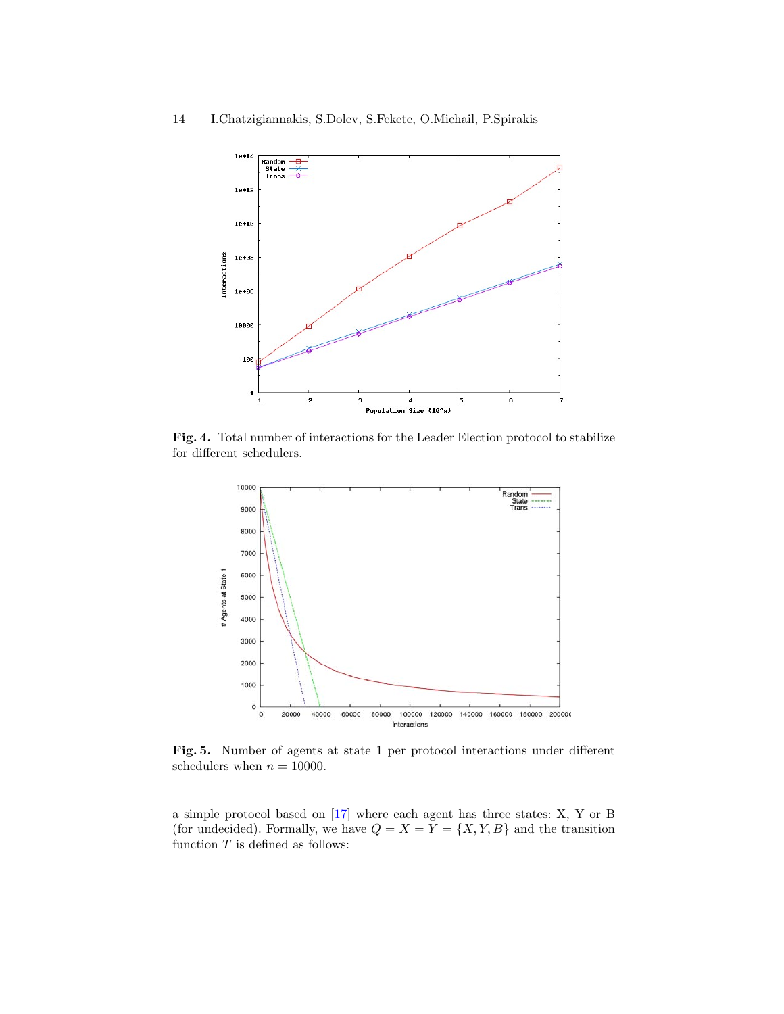

<span id="page-13-0"></span>Fig. 4. Total number of interactions for the Leader Election protocol to stabilize for different schedulers.



<span id="page-13-1"></span>Fig. 5. Number of agents at state 1 per protocol interactions under different schedulers when  $n = 10000$ .

a simple protocol based on [\[17\]](#page-22-13) where each agent has three states: X, Y or B (for undecided). Formally, we have  $Q = X = Y = \{X, Y, B\}$  and the transition function  ${\cal T}$  is defined as follows: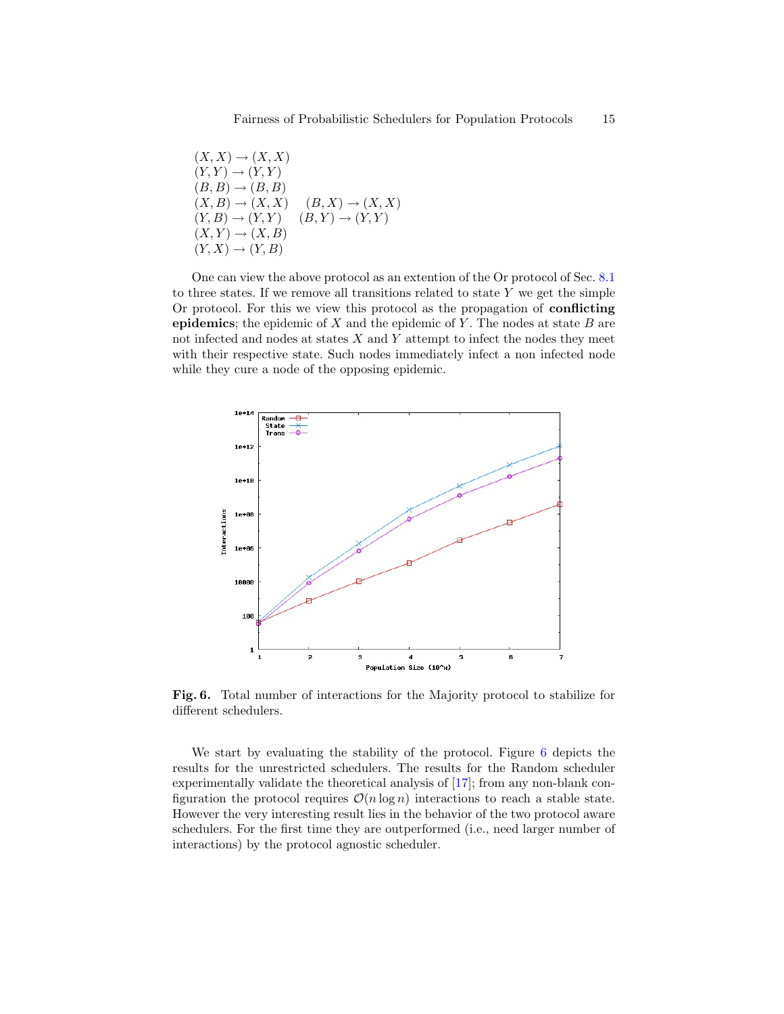$$
(X, X) \rightarrow (X, X)
$$
  
\n
$$
(Y, Y) \rightarrow (Y, Y)
$$
  
\n
$$
(B, B) \rightarrow (B, B)
$$
  
\n
$$
(X, B) \rightarrow (X, X)
$$
  
\n
$$
(Y, B) \rightarrow (Y, Y)
$$
  
\n
$$
(B, Y) \rightarrow (Y, Y)
$$
  
\n
$$
(X, Y) \rightarrow (X, B)
$$
  
\n
$$
(Y, X) \rightarrow (Y, B)
$$

One can view the above protocol as an extention of the Or protocol of Sec. [8.1](#page-16-0) to three states. If we remove all transitions related to state  $Y$  we get the simple Or protocol. For this we view this protocol as the propagation of conflicting epidemics; the epidemic of  $X$  and the epidemic of  $Y$ . The nodes at state  $B$  are not infected and nodes at states  $X$  and  $Y$  attempt to infect the nodes they meet with their respective state. Such nodes immediately infect a non infected node while they cure a node of the opposing epidemic.



<span id="page-14-0"></span>Fig. 6. Total number of interactions for the Majority protocol to stabilize for different schedulers.

We start by evaluating the stability of the protocol. Figure [6](#page-14-0) depicts the results for the unrestricted schedulers. The results for the Random scheduler experimentally validate the theoretical analysis of [\[17\]](#page-22-13); from any non-blank configuration the protocol requires  $\mathcal{O}(n \log n)$  interactions to reach a stable state. However the very interesting result lies in the behavior of the two protocol aware schedulers. For the first time they are outperformed (i.e., need larger number of interactions) by the protocol agnostic scheduler.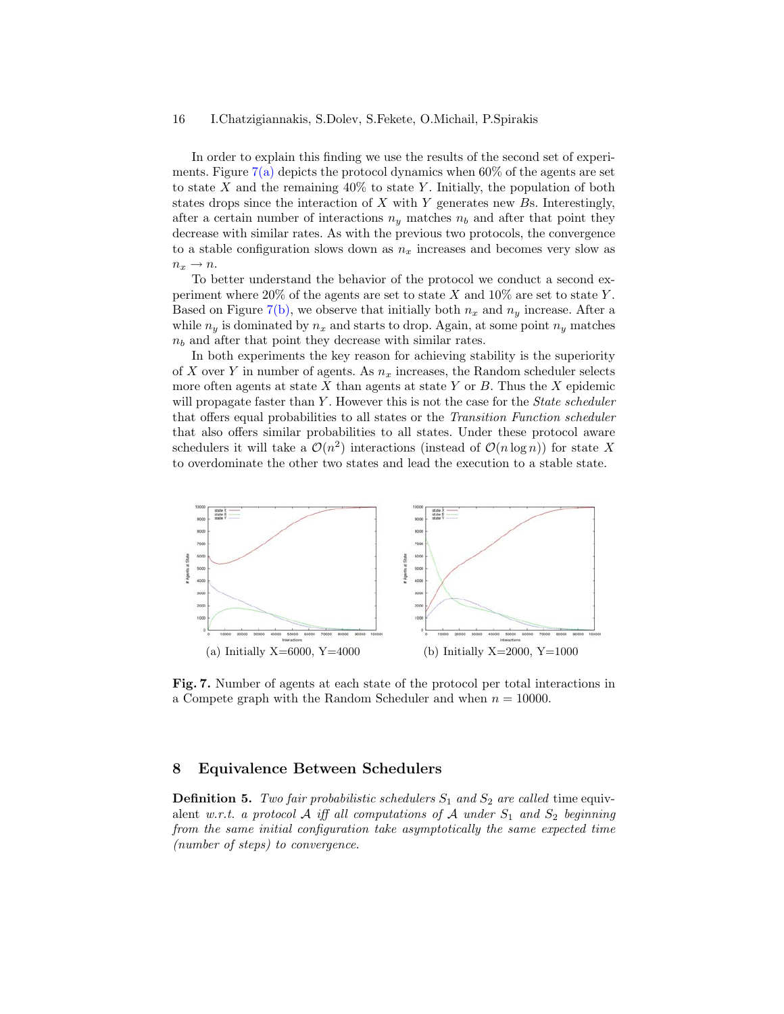In order to explain this finding we use the results of the second set of experiments. Figure  $7(a)$  depicts the protocol dynamics when 60% of the agents are set to state  $X$  and the remaining  $40\%$  to state Y. Initially, the population of both states drops since the interaction of  $X$  with  $Y$  generates new  $Bs$ . Interestingly, after a certain number of interactions  $n_y$  matches  $n_b$  and after that point they decrease with similar rates. As with the previous two protocols, the convergence to a stable configuration slows down as  $n_x$  increases and becomes very slow as  $n_x \rightarrow n$ .

To better understand the behavior of the protocol we conduct a second experiment where 20% of the agents are set to state X and 10% are set to state Y. Based on Figure [7\(b\),](#page-15-1) we observe that initially both  $n_x$  and  $n_y$  increase. After a while  $n_y$  is dominated by  $n_x$  and starts to drop. Again, at some point  $n_y$  matches  $n_b$  and after that point they decrease with similar rates.

In both experiments the key reason for achieving stability is the superiority of X over Y in number of agents. As  $n_x$  increases, the Random scheduler selects more often agents at state  $X$  than agents at state  $Y$  or  $B$ . Thus the  $X$  epidemic will propagate faster than Y. However this is not the case for the *State scheduler* that offers equal probabilities to all states or the Transition Function scheduler that also offers similar probabilities to all states. Under these protocol aware schedulers it will take a  $\mathcal{O}(n^2)$  interactions (instead of  $\mathcal{O}(n \log n)$ ) for state X to overdominate the other two states and lead the execution to a stable state.

<span id="page-15-0"></span>

<span id="page-15-1"></span>Fig. 7. Number of agents at each state of the protocol per total interactions in a Compete graph with the Random Scheduler and when  $n = 10000$ .

# 8 Equivalence Between Schedulers

**Definition 5.** Two fair probabilistic schedulers  $S_1$  and  $S_2$  are called time equivalent w.r.t. a protocol A iff all computations of A under  $S_1$  and  $S_2$  beginning from the same initial configuration take asymptotically the same expected time (number of steps) to convergence.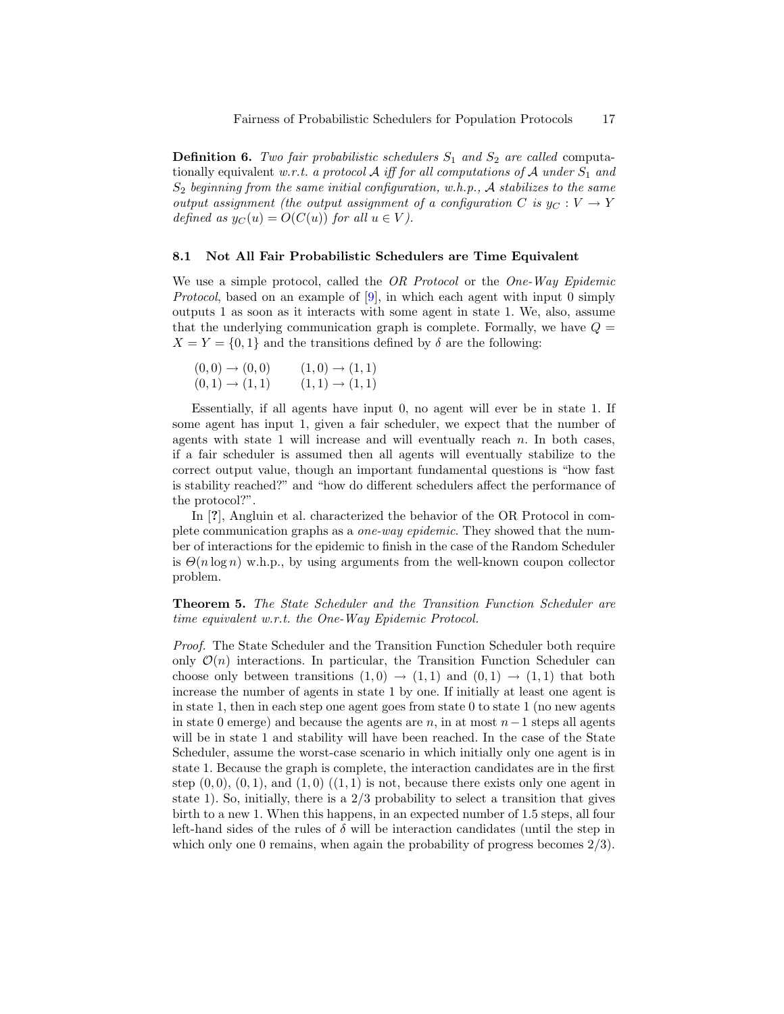<span id="page-16-1"></span>**Definition 6.** Two fair probabilistic schedulers  $S_1$  and  $S_2$  are called computationally equivalent w.r.t. a protocol A iff for all computations of A under  $S_1$  and  $S_2$  beginning from the same initial configuration, w.h.p., A stabilizes to the same output assignment (the output assignment of a configuration C is  $y_C : V \to Y$ defined as  $y_C(u) = O(C(u))$  for all  $u \in V$ ).

#### <span id="page-16-0"></span>8.1 Not All Fair Probabilistic Schedulers are Time Equivalent

We use a simple protocol, called the OR Protocol or the One-Way Epidemic *Protocol*, based on an example of  $[9]$ , in which each agent with input 0 simply outputs 1 as soon as it interacts with some agent in state 1. We, also, assume that the underlying communication graph is complete. Formally, we have  $Q =$  $X = Y = \{0, 1\}$  and the transitions defined by  $\delta$  are the following:

| $(0,0) \to (0,0)$ | $(1,0) \rightarrow (1,1)$ |
|-------------------|---------------------------|
| $(0,1) \to (1,1)$ | $(1,1) \rightarrow (1,1)$ |

Essentially, if all agents have input 0, no agent will ever be in state 1. If some agent has input 1, given a fair scheduler, we expect that the number of agents with state 1 will increase and will eventually reach  $n$ . In both cases, if a fair scheduler is assumed then all agents will eventually stabilize to the correct output value, though an important fundamental questions is "how fast is stability reached?" and "how do different schedulers affect the performance of the protocol?".

In [?], Angluin et al. characterized the behavior of the OR Protocol in complete communication graphs as a one-way epidemic. They showed that the number of interactions for the epidemic to finish in the case of the Random Scheduler is  $\Theta(n \log n)$  w.h.p., by using arguments from the well-known coupon collector problem.

Theorem 5. The State Scheduler and the Transition Function Scheduler are time equivalent w.r.t. the One-Way Epidemic Protocol.

Proof. The State Scheduler and the Transition Function Scheduler both require only  $\mathcal{O}(n)$  interactions. In particular, the Transition Function Scheduler can choose only between transitions  $(1,0) \rightarrow (1,1)$  and  $(0,1) \rightarrow (1,1)$  that both increase the number of agents in state 1 by one. If initially at least one agent is in state 1, then in each step one agent goes from state  $0$  to state 1 (no new agents in state 0 emerge) and because the agents are  $n$ , in at most  $n-1$  steps all agents will be in state 1 and stability will have been reached. In the case of the State Scheduler, assume the worst-case scenario in which initially only one agent is in state 1. Because the graph is complete, the interaction candidates are in the first step  $(0,0), (0,1),$  and  $(1,0)$   $((1,1)$  is not, because there exists only one agent in state 1). So, initially, there is a  $2/3$  probability to select a transition that gives birth to a new 1. When this happens, in an expected number of 1.5 steps, all four left-hand sides of the rules of  $\delta$  will be interaction candidates (until the step in which only one 0 remains, when again the probability of progress becomes  $2/3$ .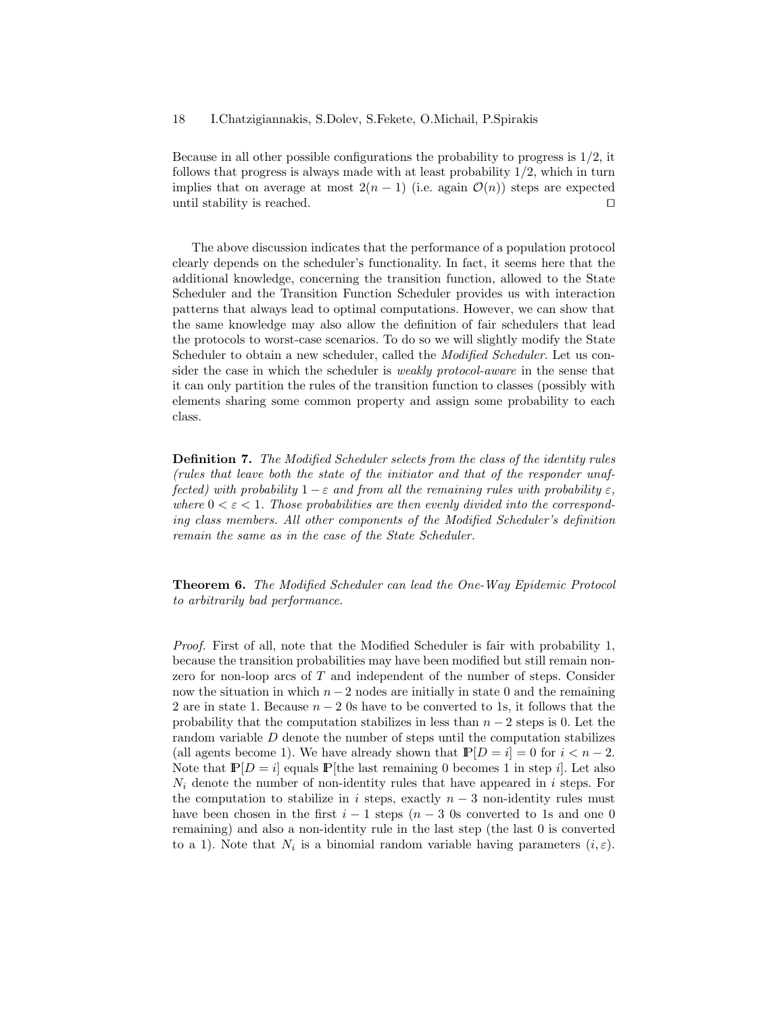Because in all other possible configurations the probability to progress is  $1/2$ , it follows that progress is always made with at least probability  $1/2$ , which in turn implies that on average at most  $2(n-1)$  (i.e. again  $\mathcal{O}(n)$ ) steps are expected until stability is reached.  $\Box$ 

The above discussion indicates that the performance of a population protocol clearly depends on the scheduler's functionality. In fact, it seems here that the additional knowledge, concerning the transition function, allowed to the State Scheduler and the Transition Function Scheduler provides us with interaction patterns that always lead to optimal computations. However, we can show that the same knowledge may also allow the definition of fair schedulers that lead the protocols to worst-case scenarios. To do so we will slightly modify the State Scheduler to obtain a new scheduler, called the *Modified Scheduler*. Let us consider the case in which the scheduler is weakly protocol-aware in the sense that it can only partition the rules of the transition function to classes (possibly with elements sharing some common property and assign some probability to each class.

Definition 7. The Modified Scheduler selects from the class of the identity rules (rules that leave both the state of the initiator and that of the responder unaffected) with probability  $1 - \varepsilon$  and from all the remaining rules with probability  $\varepsilon$ , where  $0 < \varepsilon < 1$ . Those probabilities are then evenly divided into the corresponding class members. All other components of the Modified Scheduler's definition remain the same as in the case of the State Scheduler.

<span id="page-17-0"></span>Theorem 6. The Modified Scheduler can lead the One-Way Epidemic Protocol to arbitrarily bad performance.

Proof. First of all, note that the Modified Scheduler is fair with probability 1, because the transition probabilities may have been modified but still remain nonzero for non-loop arcs of T and independent of the number of steps. Consider now the situation in which  $n-2$  nodes are initially in state 0 and the remaining 2 are in state 1. Because  $n-2$  0s have to be converted to 1s, it follows that the probability that the computation stabilizes in less than  $n-2$  steps is 0. Let the random variable D denote the number of steps until the computation stabilizes (all agents become 1). We have already shown that  $\mathbb{P}[D = i] = 0$  for  $i < n-2$ . Note that  $\mathbb{P}[D=i]$  equals  $\mathbb{P}[\text{the last remaining 0 becomes 1 in step } i]$ . Let also  $N_i$  denote the number of non-identity rules that have appeared in i steps. For the computation to stabilize in i steps, exactly  $n-3$  non-identity rules must have been chosen in the first  $i - 1$  steps  $(n - 3)$  os converted to 1s and one 0 remaining) and also a non-identity rule in the last step (the last 0 is converted to a 1). Note that  $N_i$  is a binomial random variable having parameters  $(i, \varepsilon)$ .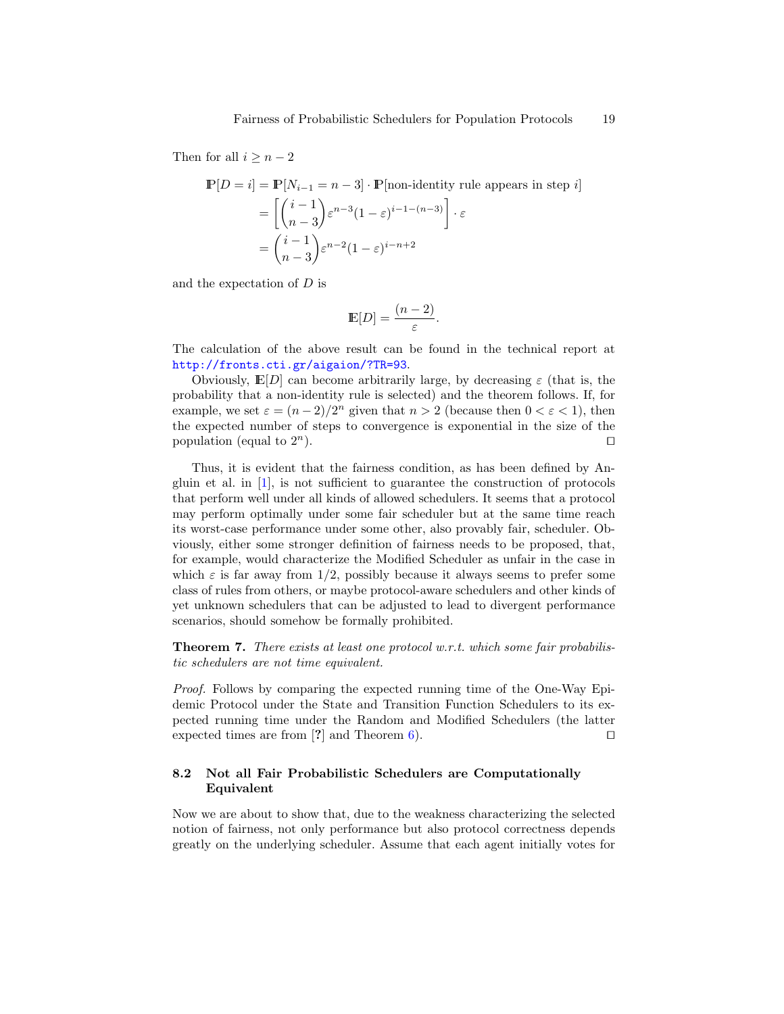Then for all  $i \geq n-2$ 

$$
\mathbb{P}[D = i] = \mathbb{P}[N_{i-1} = n-3] \cdot \mathbb{P}[\text{non-identity rule appears in step } i]
$$

$$
= \left[ \binom{i-1}{n-3} \varepsilon^{n-3} (1-\varepsilon)^{i-1-(n-3)} \right] \cdot \varepsilon
$$

$$
= \binom{i-1}{n-3} \varepsilon^{n-2} (1-\varepsilon)^{i-n+2}
$$

and the expectation of D is

$$
\mathbb{E}[D] = \frac{(n-2)}{\varepsilon}.
$$

The calculation of the above result can be found in the technical report at <http://fronts.cti.gr/aigaion/?TR=93>.

Obviously,  $\mathbb{E}[D]$  can become arbitrarily large, by decreasing  $\varepsilon$  (that is, the probability that a non-identity rule is selected) and the theorem follows. If, for example, we set  $\varepsilon = (n-2)/2^n$  given that  $n > 2$  (because then  $0 < \varepsilon < 1$ ), then the expected number of steps to convergence is exponential in the size of the population (equal to  $2^n$ ).

Thus, it is evident that the fairness condition, as has been defined by Angluin et al. in [\[1\]](#page-21-0), is not sufficient to guarantee the construction of protocols that perform well under all kinds of allowed schedulers. It seems that a protocol may perform optimally under some fair scheduler but at the same time reach its worst-case performance under some other, also provably fair, scheduler. Obviously, either some stronger definition of fairness needs to be proposed, that, for example, would characterize the Modified Scheduler as unfair in the case in which  $\varepsilon$  is far away from 1/2, possibly because it always seems to prefer some class of rules from others, or maybe protocol-aware schedulers and other kinds of yet unknown schedulers that can be adjusted to lead to divergent performance scenarios, should somehow be formally prohibited.

Theorem 7. There exists at least one protocol w.r.t. which some fair probabilistic schedulers are not time equivalent.

Proof. Follows by comparing the expected running time of the One-Way Epidemic Protocol under the State and Transition Function Schedulers to its expected running time under the Random and Modified Schedulers (the latter expected times are from [?] and Theorem [6\)](#page-17-0).  $\square$ 

## 8.2 Not all Fair Probabilistic Schedulers are Computationally Equivalent

Now we are about to show that, due to the weakness characterizing the selected notion of fairness, not only performance but also protocol correctness depends greatly on the underlying scheduler. Assume that each agent initially votes for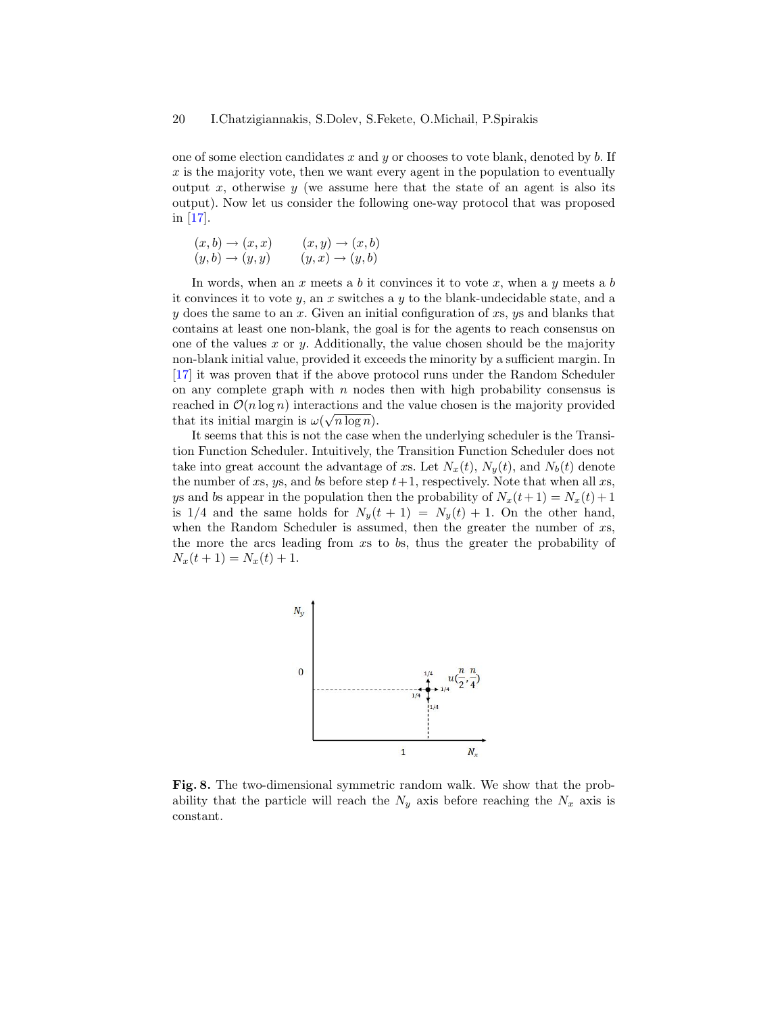one of some election candidates x and y or chooses to vote blank, denoted by b. If  $x$  is the majority vote, then we want every agent in the population to eventually output  $x$ , otherwise  $y$  (we assume here that the state of an agent is also its output). Now let us consider the following one-way protocol that was proposed in [\[17\]](#page-22-13).

$$
(x, b) \rightarrow (x, x) \qquad (x, y) \rightarrow (x, b)
$$
  

$$
(y, b) \rightarrow (y, y) \qquad (y, x) \rightarrow (y, b)
$$

In words, when an x meets a b it convinces it to vote x, when a y meets a b it convinces it to vote  $y$ , an  $x$  switches a  $y$  to the blank-undecidable state, and a y does the same to an x. Given an initial configuration of  $x_s$ , ys and blanks that contains at least one non-blank, the goal is for the agents to reach consensus on one of the values  $x$  or  $y$ . Additionally, the value chosen should be the majority non-blank initial value, provided it exceeds the minority by a sufficient margin. In [\[17\]](#page-22-13) it was proven that if the above protocol runs under the Random Scheduler on any complete graph with  $n$  nodes then with high probability consensus is reached in  $\mathcal{O}(n \log n)$  interactions and the value chosen is the majority provided that its initial margin is  $\omega(\sqrt{n \log n})$ .

It seems that this is not the case when the underlying scheduler is the Transition Function Scheduler. Intuitively, the Transition Function Scheduler does not take into great account the advantage of xs. Let  $N_x(t)$ ,  $N_y(t)$ , and  $N_b(t)$  denote the number of xs, ys, and bs before step  $t+1$ , respectively. Note that when all xs, ys and bs appear in the population then the probability of  $N_x(t+1) = N_x(t) + 1$ is 1/4 and the same holds for  $N_y(t + 1) = N_y(t) + 1$ . On the other hand, when the Random Scheduler is assumed, then the greater the number of  $xs$ , the more the arcs leading from xs to bs, thus the greater the probability of  $N_x(t+1) = N_x(t) + 1.$ 



<span id="page-19-1"></span><span id="page-19-0"></span>Fig. 8. The two-dimensional symmetric random walk. We show that the probability that the particle will reach the  $N_y$  axis before reaching the  $N_x$  axis is constant.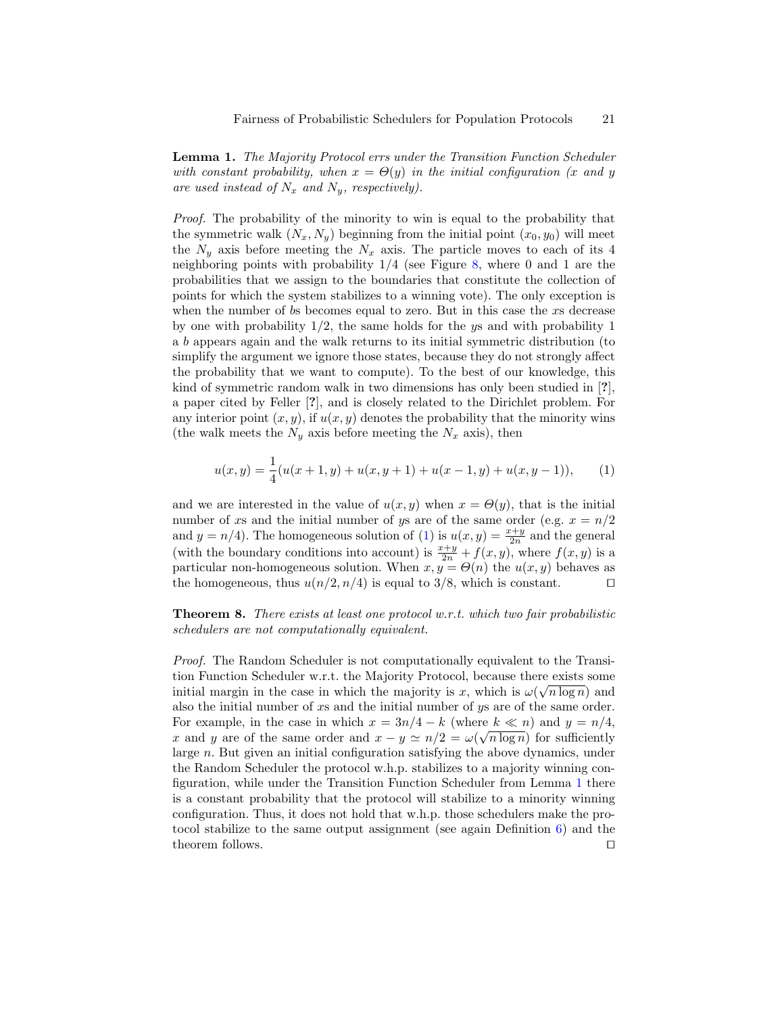**Lemma 1.** The Majority Protocol errs under the Transition Function Scheduler with constant probability, when  $x = \Theta(y)$  in the initial configuration (x and y are used instead of  $N_x$  and  $N_y$ , respectively).

Proof. The probability of the minority to win is equal to the probability that the symmetric walk  $(N_x, N_y)$  beginning from the initial point  $(x_0, y_0)$  will meet the  $N_y$  axis before meeting the  $N_x$  axis. The particle moves to each of its 4 neighboring points with probability  $1/4$  (see Figure [8,](#page-19-0) where 0 and 1 are the probabilities that we assign to the boundaries that constitute the collection of points for which the system stabilizes to a winning vote). The only exception is when the number of  $b$ s becomes equal to zero. But in this case the  $x$ s decrease by one with probability  $1/2$ , the same holds for the ys and with probability 1 a b appears again and the walk returns to its initial symmetric distribution (to simplify the argument we ignore those states, because they do not strongly affect the probability that we want to compute). To the best of our knowledge, this kind of symmetric random walk in two dimensions has only been studied in [?], a paper cited by Feller [?], and is closely related to the Dirichlet problem. For any interior point  $(x, y)$ , if  $u(x, y)$  denotes the probability that the minority wins (the walk meets the  $N_y$  axis before meeting the  $N_x$  axis), then

<span id="page-20-0"></span>
$$
u(x,y) = \frac{1}{4}(u(x+1,y) + u(x,y+1) + u(x-1,y) + u(x,y-1)),
$$
 (1)

and we are interested in the value of  $u(x, y)$  when  $x = \Theta(y)$ , that is the initial number of xs and the initial number of ys are of the same order (e.g.  $x = n/2$ ) and  $y = n/4$ ). The homogeneous solution of [\(1\)](#page-20-0) is  $u(x, y) = \frac{x+y}{2n}$  and the general (with the boundary conditions into account) is  $\frac{x+y}{2n} + f(x, y)$ , where  $f(x, y)$  is a particular non-homogeneous solution. When  $x, y = \Theta(n)$  the  $u(x, y)$  behaves as the homogeneous, thus  $u(n/2, n/4)$  is equal to 3/8, which is constant.  $\square$ 

**Theorem 8.** There exists at least one protocol w.r.t. which two fair probabilistic schedulers are not computationally equivalent.

Proof. The Random Scheduler is not computationally equivalent to the Transition Function Scheduler w.r.t. the Majority Protocol, because there exists some √ initial margin in the case in which the majority is x, which is  $\omega(\sqrt{n \log n})$  and also the initial number of xs and the initial number of ys are of the same order. For example, in the case in which  $x = 3n/4 - k$  (where  $k \ll n$ ) and  $y = n/4$ , x and y are of the same order and  $x - y \simeq n/2 = \omega(\sqrt{n \log n})$  for sufficiently large n. But given an initial configuration satisfying the above dynamics, under the Random Scheduler the protocol w.h.p. stabilizes to a majority winning configuration, while under the Transition Function Scheduler from Lemma [1](#page-19-1) there is a constant probability that the protocol will stabilize to a minority winning configuration. Thus, it does not hold that w.h.p. those schedulers make the protocol stabilize to the same output assignment (see again Definition [6\)](#page-16-1) and the theorem follows.  $\Box$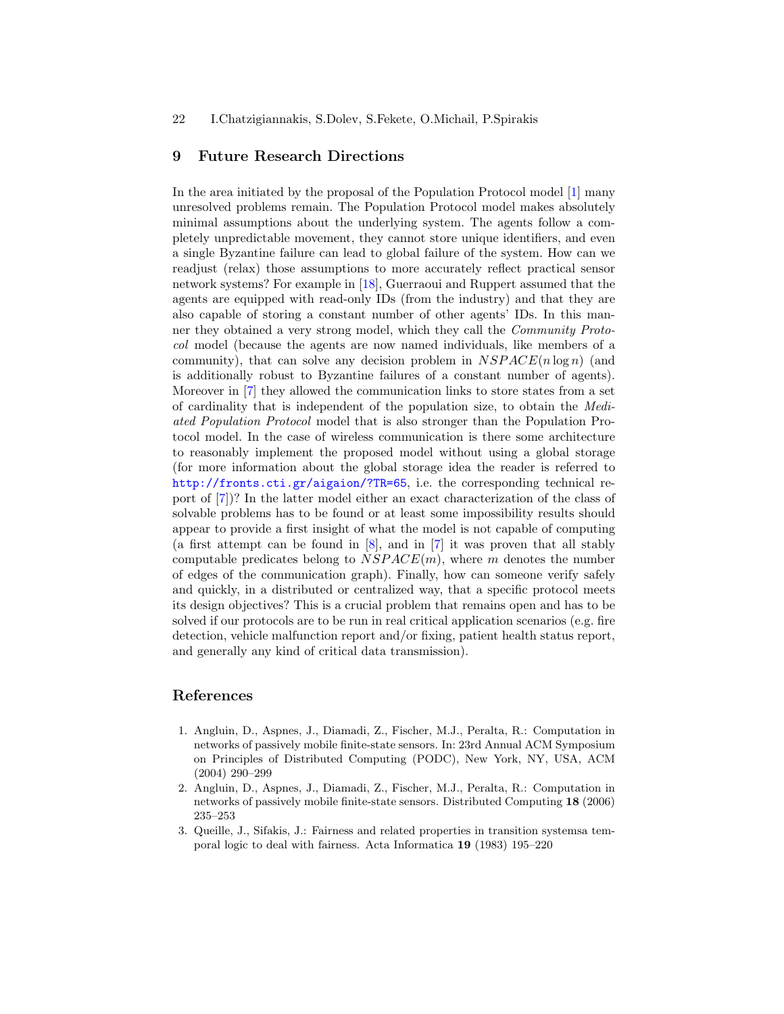## 9 Future Research Directions

In the area initiated by the proposal of the Population Protocol model [\[1\]](#page-21-0) many unresolved problems remain. The Population Protocol model makes absolutely minimal assumptions about the underlying system. The agents follow a completely unpredictable movement, they cannot store unique identifiers, and even a single Byzantine failure can lead to global failure of the system. How can we readjust (relax) those assumptions to more accurately reflect practical sensor network systems? For example in [\[18\]](#page-22-14), Guerraoui and Ruppert assumed that the agents are equipped with read-only IDs (from the industry) and that they are also capable of storing a constant number of other agents' IDs. In this manner they obtained a very strong model, which they call the Community Protocol model (because the agents are now named individuals, like members of a community), that can solve any decision problem in  $NSPACE(n \log n)$  (and is additionally robust to Byzantine failures of a constant number of agents). Moreover in [\[7\]](#page-22-3) they allowed the communication links to store states from a set of cardinality that is independent of the population size, to obtain the Mediated Population Protocol model that is also stronger than the Population Protocol model. In the case of wireless communication is there some architecture to reasonably implement the proposed model without using a global storage (for more information about the global storage idea the reader is referred to <http://fronts.cti.gr/aigaion/?TR=65>, i.e. the corresponding technical report of [\[7\]](#page-22-3))? In the latter model either an exact characterization of the class of solvable problems has to be found or at least some impossibility results should appear to provide a first insight of what the model is not capable of computing (a first attempt can be found in [\[8\]](#page-22-4), and in [\[7\]](#page-22-3) it was proven that all stably computable predicates belong to  $NSPACE(m)$ , where m denotes the number of edges of the communication graph). Finally, how can someone verify safely and quickly, in a distributed or centralized way, that a specific protocol meets its design objectives? This is a crucial problem that remains open and has to be solved if our protocols are to be run in real critical application scenarios (e.g. fire detection, vehicle malfunction report and/or fixing, patient health status report, and generally any kind of critical data transmission).

# References

- <span id="page-21-0"></span>1. Angluin, D., Aspnes, J., Diamadi, Z., Fischer, M.J., Peralta, R.: Computation in networks of passively mobile finite-state sensors. In: 23rd Annual ACM Symposium on Principles of Distributed Computing (PODC), New York, NY, USA, ACM (2004) 290–299
- <span id="page-21-1"></span>2. Angluin, D., Aspnes, J., Diamadi, Z., Fischer, M.J., Peralta, R.: Computation in networks of passively mobile finite-state sensors. Distributed Computing 18 (2006) 235–253
- <span id="page-21-2"></span>3. Queille, J., Sifakis, J.: Fairness and related properties in transition systemsa temporal logic to deal with fairness. Acta Informatica 19 (1983) 195–220